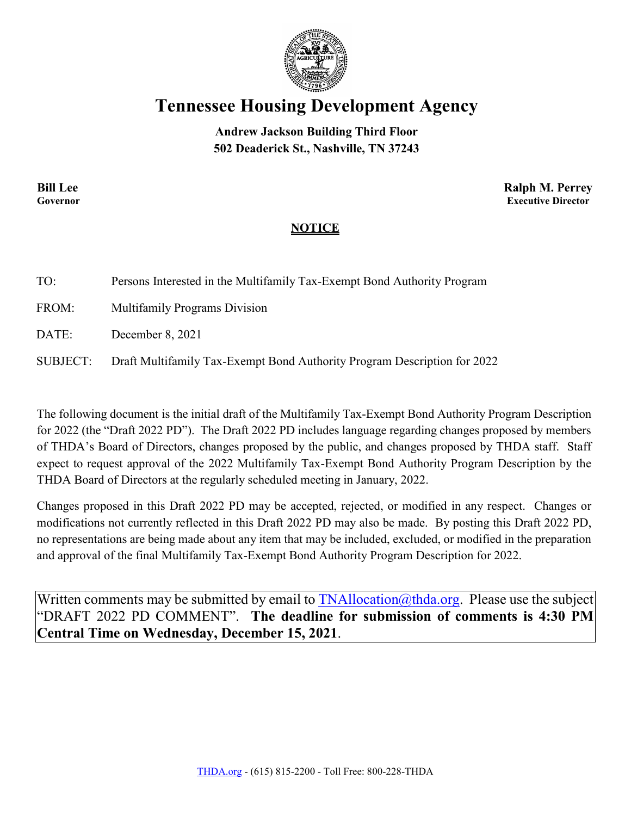

## **Tennessee Housing Development Agency**

**Andrew Jackson Building Third Floor 502 Deaderick St., Nashville, TN 37243**

**Bill Lee Ralph M. Perrey Governor Executive Director**

## **NOTICE**

| TO:      | Persons Interested in the Multifamily Tax-Exempt Bond Authority Program  |
|----------|--------------------------------------------------------------------------|
| FROM:    | <b>Multifamily Programs Division</b>                                     |
| DATE:    | December 8, 2021                                                         |
| SUBJECT: | Draft Multifamily Tax-Exempt Bond Authority Program Description for 2022 |

The following document is the initial draft of the Multifamily Tax-Exempt Bond Authority Program Description for 2022 (the "Draft 2022 PD"). The Draft 2022 PD includes language regarding changes proposed by members of THDA's Board of Directors, changes proposed by the public, and changes proposed by THDA staff. Staff expect to request approval of the 2022 Multifamily Tax-Exempt Bond Authority Program Description by the THDA Board of Directors at the regularly scheduled meeting in January, 2022.

Changes proposed in this Draft 2022 PD may be accepted, rejected, or modified in any respect. Changes or modifications not currently reflected in this Draft 2022 PD may also be made. By posting this Draft 2022 PD, no representations are being made about any item that may be included, excluded, or modified in the preparation and approval of the final Multifamily Tax-Exempt Bond Authority Program Description for 2022.

Written comments may be submitted by email to  $\text{TNAllocation}(\hat{\omega}$ thda.org. Please use the subject "DRAFT 2022 PD COMMENT". **The deadline for submission of comments is 4:30 PM Central Time on Wednesday, December 15, 2021**.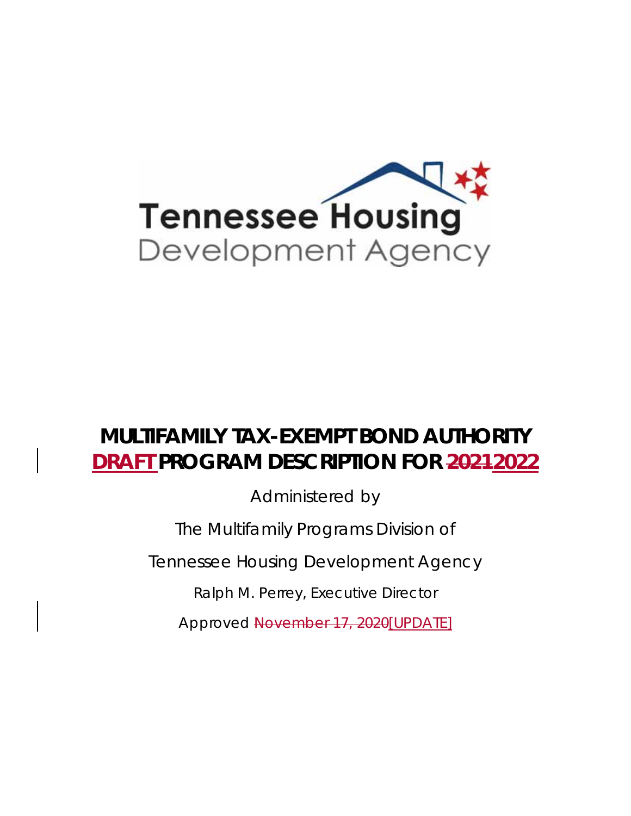

# **MULTIFAMILY TAX-EXEMPT BOND AUTHORITY DRAFT PROGRAM DESCRIPTION FOR 20212022**

Administered by

The Multifamily Programs Division of

Tennessee Housing Development Agency

Ralph M. Perrey, Executive Director

Approved November 17, 2020[UPDATE]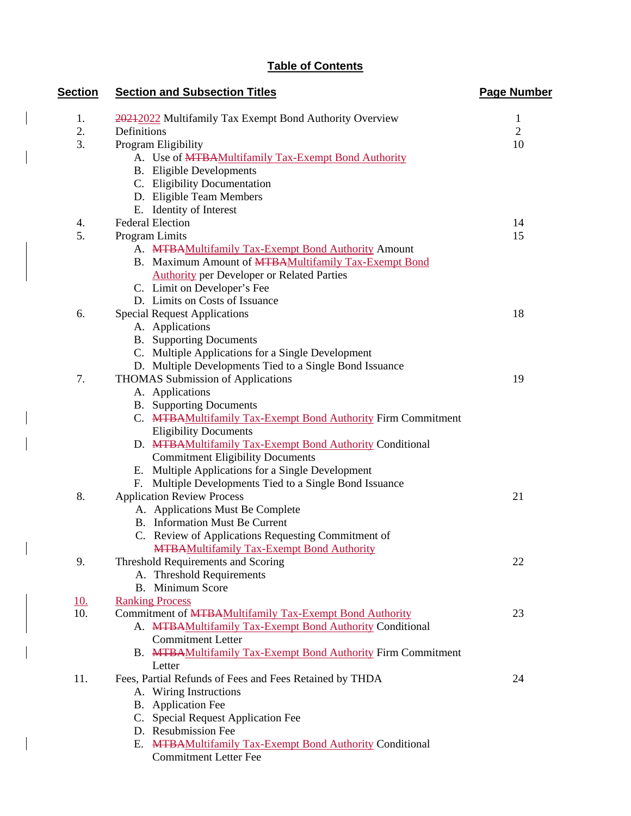## **Table of Contents**

 $\overline{\phantom{a}}$ 

| <b>Section</b> | <b>Section and Subsection Titles</b>                                                         | <b>Page Number</b> |
|----------------|----------------------------------------------------------------------------------------------|--------------------|
| 1.             | 20212022 Multifamily Tax Exempt Bond Authority Overview                                      | 1                  |
| 2.             | Definitions                                                                                  | $\overline{2}$     |
| 3.             | Program Eligibility                                                                          | 10                 |
|                | A. Use of MTBAMultifamily Tax-Exempt Bond Authority                                          |                    |
|                | <b>B.</b> Eligible Developments                                                              |                    |
|                | C. Eligibility Documentation                                                                 |                    |
|                | D. Eligible Team Members                                                                     |                    |
|                | E. Identity of Interest                                                                      |                    |
| 4.             | <b>Federal Election</b>                                                                      | 14                 |
| 5.             | Program Limits                                                                               | 15                 |
|                | A. MTBAMultifamily Tax-Exempt Bond Authority Amount                                          |                    |
|                | B. Maximum Amount of MTBAMultifamily Tax-Exempt Bond                                         |                    |
|                | <b>Authority per Developer or Related Parties</b>                                            |                    |
|                | C. Limit on Developer's Fee                                                                  |                    |
|                | D. Limits on Costs of Issuance                                                               |                    |
| 6.             | <b>Special Request Applications</b>                                                          | 18                 |
|                | A. Applications                                                                              |                    |
|                | <b>B.</b> Supporting Documents                                                               |                    |
|                | C. Multiple Applications for a Single Development                                            |                    |
|                | D. Multiple Developments Tied to a Single Bond Issuance                                      |                    |
| 7.             | <b>THOMAS Submission of Applications</b>                                                     | 19                 |
|                | A. Applications                                                                              |                    |
|                | <b>B.</b> Supporting Documents                                                               |                    |
|                | C. MTBAMultifamily Tax-Exempt Bond Authority Firm Commitment                                 |                    |
|                | <b>Eligibility Documents</b>                                                                 |                    |
|                | D. MTBAMultifamily Tax-Exempt Bond Authority Conditional                                     |                    |
|                | <b>Commitment Eligibility Documents</b><br>E. Multiple Applications for a Single Development |                    |
|                | Multiple Developments Tied to a Single Bond Issuance                                         |                    |
| 8.             | <b>Application Review Process</b>                                                            | 21                 |
|                | A. Applications Must Be Complete                                                             |                    |
|                | <b>B.</b> Information Must Be Current                                                        |                    |
|                | C. Review of Applications Requesting Commitment of                                           |                    |
|                | <b>MTBAMultifamily Tax-Exempt Bond Authority</b>                                             |                    |
| 9.             | Threshold Requirements and Scoring                                                           | 22                 |
|                | A. Threshold Requirements                                                                    |                    |
|                | B. Minimum Score                                                                             |                    |
| <u>10.</u>     | <b>Ranking Process</b>                                                                       |                    |
| 10.            | Commitment of MTBAMultifamily Tax-Exempt Bond Authority                                      | 23                 |
|                | A. MTBAMultifamily Tax-Exempt Bond Authority Conditional                                     |                    |
|                | <b>Commitment Letter</b>                                                                     |                    |
|                | B. MTBAMultifamily Tax-Exempt Bond Authority Firm Commitment                                 |                    |
|                | Letter                                                                                       |                    |
| 11.            | Fees, Partial Refunds of Fees and Fees Retained by THDA                                      | 24                 |
|                | A. Wiring Instructions                                                                       |                    |
|                | <b>Application Fee</b><br>В.                                                                 |                    |
|                | C. Special Request Application Fee                                                           |                    |
|                | D. Resubmission Fee                                                                          |                    |
|                | E. MTBAMultifamily Tax-Exempt Bond Authority Conditional                                     |                    |
|                | <b>Commitment Letter Fee</b>                                                                 |                    |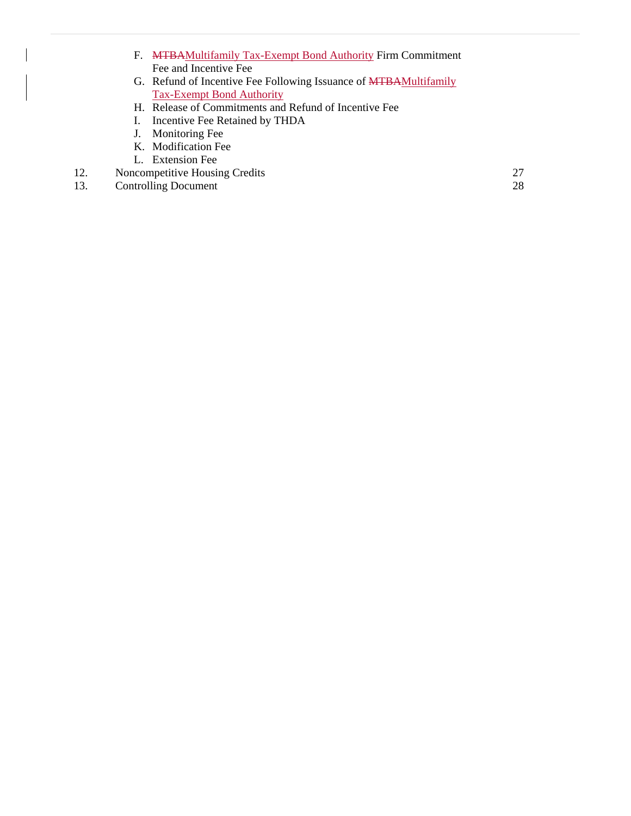- F. MTBAMultifamily Tax-Exempt Bond Authority Firm Commitment Fee and Incentive Fee
- G. Refund of Incentive Fee Following Issuance of MTBAMultifamily Tax-Exempt Bond Authority
- H. Release of Commitments and Refund of Incentive Fee
- I. Incentive Fee Retained by THDA
- J. Monitoring Fee
- K. Modification Fee
- L. Extension Fee
- 12. Noncompetitive Housing Credits 27
- 13. Controlling Document 28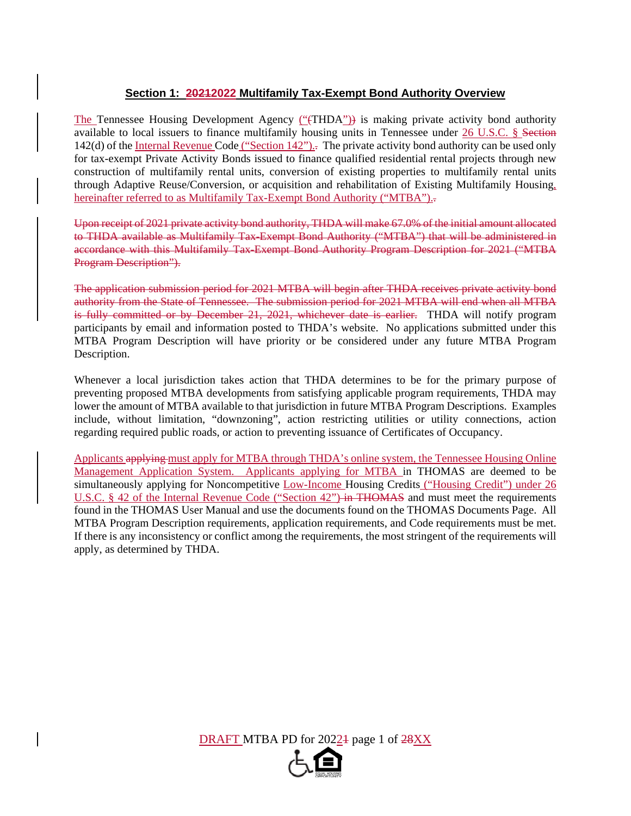## **Section 1: 20212022 Multifamily Tax-Exempt Bond Authority Overview**

The Tennessee Housing Development Agency ("(THDA")) is making private activity bond authority available to local issuers to finance multifamily housing units in Tennessee under 26 U.S.C. § Section 142(d) of the <u>Internal Revenue Code ("Section 142")</u>. The private activity bond authority can be used only for tax-exempt Private Activity Bonds issued to finance qualified residential rental projects through new construction of multifamily rental units, conversion of existing properties to multifamily rental units through Adaptive Reuse/Conversion, or acquisition and rehabilitation of Existing Multifamily Housing, hereinafter referred to as Multifamily Tax-Exempt Bond Authority ("MTBA").

Upon receipt of 2021 private activity bond authority, THDA will make 67.0% of the initial amount allocated to THDA available as Multifamily Tax-Exempt Bond Authority ("MTBA") that will be administered in accordance with this Multifamily Tax-Exempt Bond Authority Program Description for 2021 ("MTBA Program Description").

The application submission period for 2021 MTBA will begin after THDA receives private activity bond authority from the State of Tennessee. The submission period for 2021 MTBA will end when all MTBA is fully committed or by December 21, 2021, whichever date is earlier. THDA will notify program participants by email and information posted to THDA's website. No applications submitted under this MTBA Program Description will have priority or be considered under any future MTBA Program Description.

Whenever a local jurisdiction takes action that THDA determines to be for the primary purpose of preventing proposed MTBA developments from satisfying applicable program requirements, THDA may lower the amount of MTBA available to that jurisdiction in future MTBA Program Descriptions. Examples include, without limitation, "downzoning", action restricting utilities or utility connections, action regarding required public roads, or action to preventing issuance of Certificates of Occupancy.

Applicants applying must apply for MTBA through THDA's online system, the Tennessee Housing Online Management Application System. Applicants applying for MTBA in THOMAS are deemed to be simultaneously applying for Noncompetitive Low-Income Housing Credits ("Housing Credit") under 26 U.S.C. § 42 of the Internal Revenue Code ("Section 42") in THOMAS and must meet the requirements found in the THOMAS User Manual and use the documents found on the THOMAS Documents Page. All MTBA Program Description requirements, application requirements, and Code requirements must be met. If there is any inconsistency or conflict among the requirements, the most stringent of the requirements will apply, as determined by THDA.

DRAFT MTBA PD for 20224 page 1 of 28XX

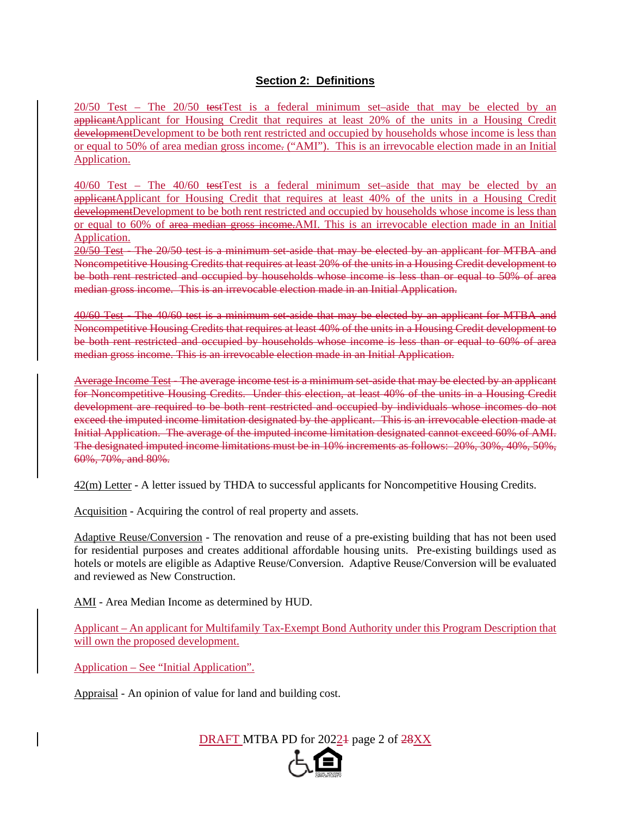## **Section 2: Definitions**

20/50 Test – The 20/50 testTest is a federal minimum set–aside that may be elected by an applicantApplicant for Housing Credit that requires at least 20% of the units in a Housing Credit developmentDevelopment to be both rent restricted and occupied by households whose income is less than or equal to 50% of area median gross income. ("AMI"). This is an irrevocable election made in an Initial Application.

40/60 Test – The 40/60 testTest is a federal minimum set–aside that may be elected by an applicantApplicant for Housing Credit that requires at least 40% of the units in a Housing Credit developmentDevelopment to be both rent restricted and occupied by households whose income is less than or equal to 60% of area median gross income.AMI. This is an irrevocable election made in an Initial Application.

20/50 Test - The 20/50 test is a minimum set-aside that may be elected by an applicant for MTBA and Noncompetitive Housing Credits that requires at least 20% of the units in a Housing Credit development to be both rent restricted and occupied by households whose income is less than or equal to 50% of area median gross income. This is an irrevocable election made in an Initial Application.

40/60 Test - The 40/60 test is a minimum set-aside that may be elected by an applicant for MTBA and Noncompetitive Housing Credits that requires at least 40% of the units in a Housing Credit development to be both rent restricted and occupied by households whose income is less than or equal to 60% of area median gross income. This is an irrevocable election made in an Initial Application.

Average Income Test - The average income test is a minimum set-aside that may be elected by an applicant for Noncompetitive Housing Credits. Under this election, at least 40% of the units in a Housing Credit development are required to be both rent restricted and occupied by individuals whose incomes do not exceed the imputed income limitation designated by the applicant. This is an irrevocable election made at Initial Application. The average of the imputed income limitation designated cannot exceed 60% of AMI. The designated imputed income limitations must be in 10% increments as follows: 20%, 30%, 40%, 50%, 60%, 70%, and 80%.

42(m) Letter - A letter issued by THDA to successful applicants for Noncompetitive Housing Credits.

Acquisition - Acquiring the control of real property and assets.

Adaptive Reuse/Conversion - The renovation and reuse of a pre-existing building that has not been used for residential purposes and creates additional affordable housing units. Pre-existing buildings used as hotels or motels are eligible as Adaptive Reuse/Conversion. Adaptive Reuse/Conversion will be evaluated and reviewed as New Construction.

AMI - Area Median Income as determined by HUD.

Applicant – An applicant for Multifamily Tax-Exempt Bond Authority under this Program Description that will own the proposed development.

Application – See "Initial Application".

Appraisal - An opinion of value for land and building cost.

DRAFT MTBA PD for 2022<sup>1</sup> page 2 of 28XX

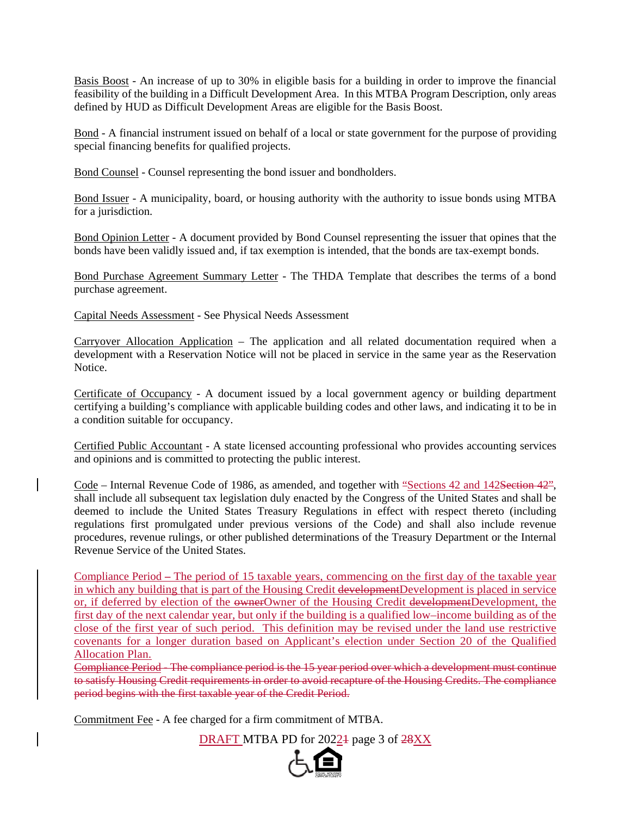Basis Boost - An increase of up to 30% in eligible basis for a building in order to improve the financial feasibility of the building in a Difficult Development Area. In this MTBA Program Description, only areas defined by HUD as Difficult Development Areas are eligible for the Basis Boost.

Bond - A financial instrument issued on behalf of a local or state government for the purpose of providing special financing benefits for qualified projects.

Bond Counsel - Counsel representing the bond issuer and bondholders.

Bond Issuer - A municipality, board, or housing authority with the authority to issue bonds using MTBA for a jurisdiction.

Bond Opinion Letter - A document provided by Bond Counsel representing the issuer that opines that the bonds have been validly issued and, if tax exemption is intended, that the bonds are tax-exempt bonds.

Bond Purchase Agreement Summary Letter - The THDA Template that describes the terms of a bond purchase agreement.

Capital Needs Assessment - See Physical Needs Assessment

Carryover Allocation Application – The application and all related documentation required when a development with a Reservation Notice will not be placed in service in the same year as the Reservation Notice.

Certificate of Occupancy - A document issued by a local government agency or building department certifying a building's compliance with applicable building codes and other laws, and indicating it to be in a condition suitable for occupancy.

Certified Public Accountant - A state licensed accounting professional who provides accounting services and opinions and is committed to protecting the public interest.

Code – Internal Revenue Code of 1986, as amended, and together with "Sections 42 and 142Section 42", shall include all subsequent tax legislation duly enacted by the Congress of the United States and shall be deemed to include the United States Treasury Regulations in effect with respect thereto (including regulations first promulgated under previous versions of the Code) and shall also include revenue procedures, revenue rulings, or other published determinations of the Treasury Department or the Internal Revenue Service of the United States.

Compliance Period **–** The period of 15 taxable years, commencing on the first day of the taxable year in which any building that is part of the Housing Credit developmentDevelopment is placed in service or, if deferred by election of the ownerOwner of the Housing Credit developmentDevelopment, the first day of the next calendar year, but only if the building is a qualified low–income building as of the close of the first year of such period. This definition may be revised under the land use restrictive covenants for a longer duration based on Applicant's election under Section 20 of the Qualified Allocation Plan.

Compliance Period - The compliance period is the 15 year period over which a development must continue to satisfy Housing Credit requirements in order to avoid recapture of the Housing Credits. The compliance period begins with the first taxable year of the Credit Period.

Commitment Fee - A fee charged for a firm commitment of MTBA.

DRAFT MTBA PD for 20221 page 3 of 28XX

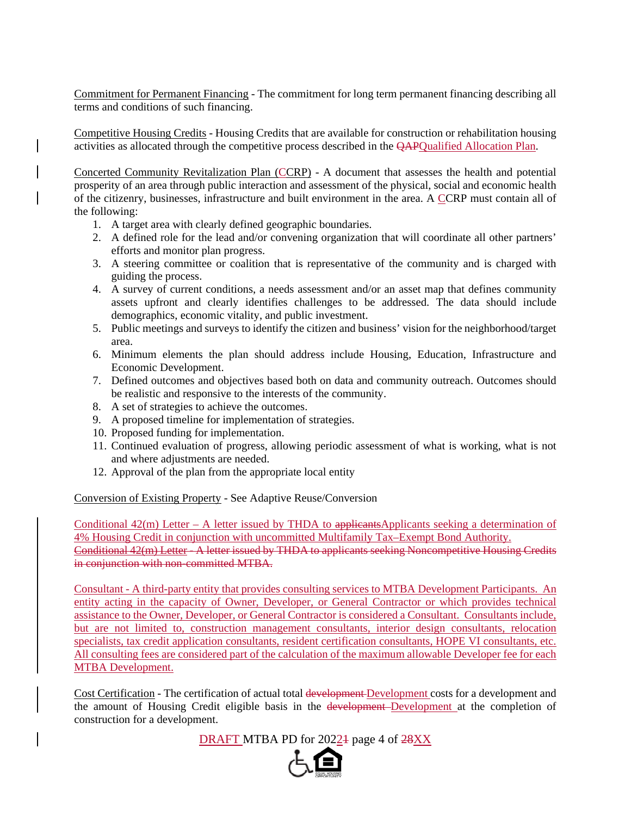Commitment for Permanent Financing - The commitment for long term permanent financing describing all terms and conditions of such financing.

Competitive Housing Credits - Housing Credits that are available for construction or rehabilitation housing activities as allocated through the competitive process described in the QAPQualified Allocation Plan.

Concerted Community Revitalization Plan (CCRP) - A document that assesses the health and potential prosperity of an area through public interaction and assessment of the physical, social and economic health of the citizenry, businesses, infrastructure and built environment in the area. A CCRP must contain all of the following:

- 1. A target area with clearly defined geographic boundaries.
- 2. A defined role for the lead and/or convening organization that will coordinate all other partners' efforts and monitor plan progress.
- 3. A steering committee or coalition that is representative of the community and is charged with guiding the process.
- 4. A survey of current conditions, a needs assessment and/or an asset map that defines community assets upfront and clearly identifies challenges to be addressed. The data should include demographics, economic vitality, and public investment.
- 5. Public meetings and surveys to identify the citizen and business' vision for the neighborhood/target area.
- 6. Minimum elements the plan should address include Housing, Education, Infrastructure and Economic Development.
- 7. Defined outcomes and objectives based both on data and community outreach. Outcomes should be realistic and responsive to the interests of the community.
- 8. A set of strategies to achieve the outcomes.
- 9. A proposed timeline for implementation of strategies.
- 10. Proposed funding for implementation.
- 11. Continued evaluation of progress, allowing periodic assessment of what is working, what is not and where adjustments are needed.
- 12. Approval of the plan from the appropriate local entity

Conversion of Existing Property - See Adaptive Reuse/Conversion

Conditional  $42(m)$  Letter – A letter issued by THDA to applicantsApplicants seeking a determination of 4% Housing Credit in conjunction with uncommitted Multifamily Tax–Exempt Bond Authority. Conditional 42(m) Letter - A letter issued by THDA to applicants seeking Noncompetitive Housing Credits in conjunction with non-committed MTBA.

Consultant - A third-party entity that provides consulting services to MTBA Development Participants. An entity acting in the capacity of Owner, Developer, or General Contractor or which provides technical assistance to the Owner, Developer, or General Contractor is considered a Consultant. Consultants include, but are not limited to, construction management consultants, interior design consultants, relocation specialists, tax credit application consultants, resident certification consultants, HOPE VI consultants, etc. All consulting fees are considered part of the calculation of the maximum allowable Developer fee for each MTBA Development.

Cost Certification - The certification of actual total development Development costs for a development and the amount of Housing Credit eligible basis in the development-Development at the completion of construction for a development.

DRAFT MTBA PD for 20221 page 4 of 28XX

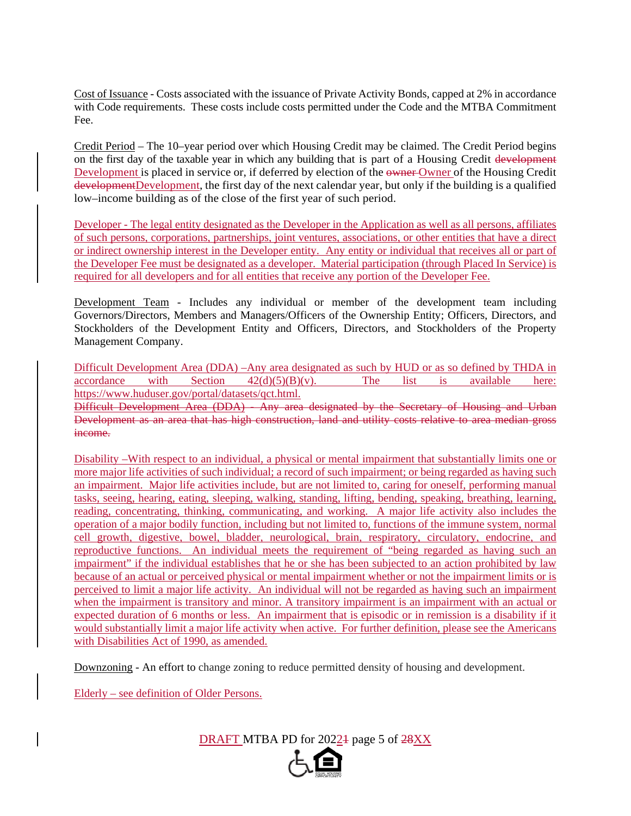Cost of Issuance - Costs associated with the issuance of Private Activity Bonds, capped at 2% in accordance with Code requirements. These costs include costs permitted under the Code and the MTBA Commitment Fee.

Credit Period – The 10–year period over which Housing Credit may be claimed. The Credit Period begins on the first day of the taxable year in which any building that is part of a Housing Credit development Development is placed in service or, if deferred by election of the owner Owner of the Housing Credit developmentDevelopment, the first day of the next calendar year, but only if the building is a qualified low–income building as of the close of the first year of such period.

Developer - The legal entity designated as the Developer in the Application as well as all persons, affiliates of such persons, corporations, partnerships, joint ventures, associations, or other entities that have a direct or indirect ownership interest in the Developer entity. Any entity or individual that receives all or part of the Developer Fee must be designated as a developer. Material participation (through Placed In Service) is required for all developers and for all entities that receive any portion of the Developer Fee.

Development Team - Includes any individual or member of the development team including Governors/Directors, Members and Managers/Officers of the Ownership Entity; Officers, Directors, and Stockholders of the Development Entity and Officers, Directors, and Stockholders of the Property Management Company.

Difficult Development Area (DDA) –Any area designated as such by HUD or as so defined by THDA in  $\text{accordance}$  with Section  $42(d)(5)(B)(v)$ . The list is available here: https://www.huduser.gov/portal/datasets/qct.html.

Difficult Development Area (DDA) **-** Any area designated by the Secretary of Housing and Urban Development as an area that has high construction, land and utility costs relative to area median gross income.

Disability –With respect to an individual, a physical or mental impairment that substantially limits one or more major life activities of such individual; a record of such impairment; or being regarded as having such an impairment. Major life activities include, but are not limited to, caring for oneself, performing manual tasks, seeing, hearing, eating, sleeping, walking, standing, lifting, bending, speaking, breathing, learning, reading, concentrating, thinking, communicating, and working. A major life activity also includes the operation of a major bodily function, including but not limited to, functions of the immune system, normal cell growth, digestive, bowel, bladder, neurological, brain, respiratory, circulatory, endocrine, and reproductive functions. An individual meets the requirement of "being regarded as having such an impairment" if the individual establishes that he or she has been subjected to an action prohibited by law because of an actual or perceived physical or mental impairment whether or not the impairment limits or is perceived to limit a major life activity. An individual will not be regarded as having such an impairment when the impairment is transitory and minor. A transitory impairment is an impairment with an actual or expected duration of 6 months or less. An impairment that is episodic or in remission is a disability if it would substantially limit a major life activity when active. For further definition, please see the Americans with Disabilities Act of 1990, as amended.

Downzoning - An effort to change zoning to reduce permitted density of housing and development.

Elderly – see definition of Older Persons.

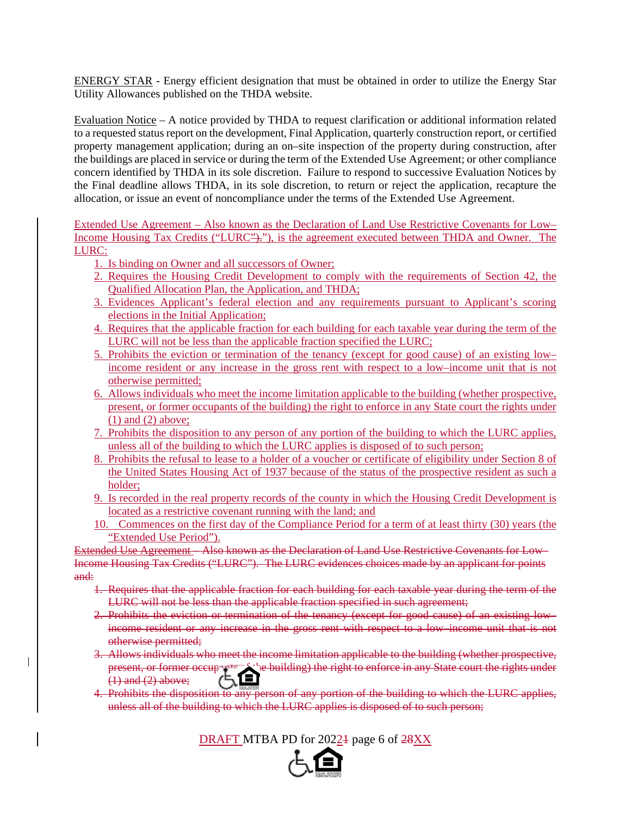ENERGY STAR - Energy efficient designation that must be obtained in order to utilize the Energy Star Utility Allowances published on the THDA website.

Evaluation Notice – A notice provided by THDA to request clarification or additional information related to a requested status report on the development, Final Application, quarterly construction report, or certified property management application; during an on–site inspection of the property during construction, after the buildings are placed in service or during the term of the Extended Use Agreement; or other compliance concern identified by THDA in its sole discretion. Failure to respond to successive Evaluation Notices by the Final deadline allows THDA, in its sole discretion, to return or reject the application, recapture the allocation, or issue an event of noncompliance under the terms of the Extended Use Agreement.

Extended Use Agreement – Also known as the Declaration of Land Use Restrictive Covenants for Low– Income Housing Tax Credits ("LURC")."), is the agreement executed between THDA and Owner. The LURC:

1. Is binding on Owner and all successors of Owner;

 $\overline{\phantom{a}}$ 

- 2. Requires the Housing Credit Development to comply with the requirements of Section 42, the Qualified Allocation Plan, the Application, and THDA;
- 3. Evidences Applicant's federal election and any requirements pursuant to Applicant's scoring elections in the Initial Application;
- 4. Requires that the applicable fraction for each building for each taxable year during the term of the LURC will not be less than the applicable fraction specified the LURC;
- 5. Prohibits the eviction or termination of the tenancy (except for good cause) of an existing low– income resident or any increase in the gross rent with respect to a low–income unit that is not otherwise permitted;
- 6. Allows individuals who meet the income limitation applicable to the building (whether prospective, present, or former occupants of the building) the right to enforce in any State court the rights under (1) and (2) above;
- 7. Prohibits the disposition to any person of any portion of the building to which the LURC applies, unless all of the building to which the LURC applies is disposed of to such person;
- 8. Prohibits the refusal to lease to a holder of a voucher or certificate of eligibility under Section 8 of the United States Housing Act of 1937 because of the status of the prospective resident as such a holder;
- 9. Is recorded in the real property records of the county in which the Housing Credit Development is located as a restrictive covenant running with the land; and
- 10. Commences on the first day of the Compliance Period for a term of at least thirty (30) years (the "Extended Use Period").

Extended Use Agreement – Also known as the Declaration of Land Use Restrictive Covenants for Low– Income Housing Tax Credits ("LURC"). The LURC evidences choices made by an applicant for points and:

- 1. Requires that the applicable fraction for each building for each taxable year during the term of the LURC will not be less than the applicable fraction specified in such agreement;
- 2. Prohibits the eviction or termination of the tenancy (except for good cause) of an existing low– income resident or any increase in the gross rent with respect to a low–income unit that is not otherwise permitted;
- 3. Allows individuals who meet the income limitation applicable to the building (whether prospective, present, or former occupation of the building) the right to enforce in any State court the rights under  $(1)$  and  $(2)$  above;
- 4. Prohibits the disposition to any person of any portion of the building to which the LURC applies, unless all of the building to which the LURC applies is disposed of to such person;

DRAFT MTBA PD for 2022<sup>1</sup> page 6 of 28XX

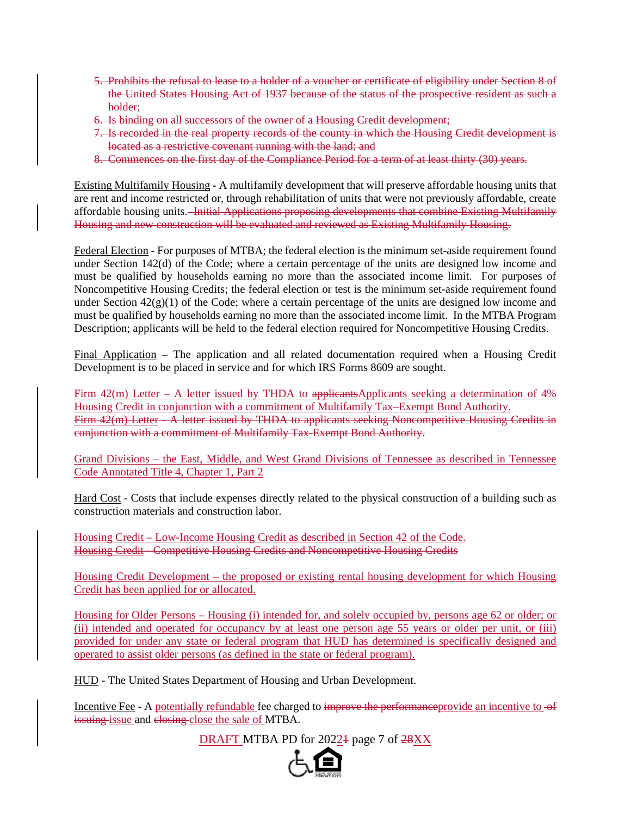- 5. Prohibits the refusal to lease to a holder of a voucher or certificate of eligibility under Section 8 of the United States Housing Act of 1937 because of the status of the prospective resident as such a holder;
- 6. Is binding on all successors of the owner of a Housing Credit development;
- 7. Is recorded in the real property records of the county in which the Housing Credit development is located as a restrictive covenant running with the land; and
- 8. Commences on the first day of the Compliance Period for a term of at least thirty (30) years.

Existing Multifamily Housing - A multifamily development that will preserve affordable housing units that are rent and income restricted or, through rehabilitation of units that were not previously affordable, create affordable housing units. Initial Applications proposing developments that combine Existing Multifamily Housing and new construction will be evaluated and reviewed as Existing Multifamily Housing.

Federal Election - For purposes of MTBA; the federal election is the minimum set-aside requirement found under Section 142(d) of the Code; where a certain percentage of the units are designed low income and must be qualified by households earning no more than the associated income limit. For purposes of Noncompetitive Housing Credits; the federal election or test is the minimum set-aside requirement found under Section  $42(g)(1)$  of the Code; where a certain percentage of the units are designed low income and must be qualified by households earning no more than the associated income limit. In the MTBA Program Description; applicants will be held to the federal election required for Noncompetitive Housing Credits.

Final Application – The application and all related documentation required when a Housing Credit Development is to be placed in service and for which IRS Forms 8609 are sought.

Firm  $42(m)$  Letter – A letter issued by THDA to applicantsApplicants seeking a determination of  $4\%$ Housing Credit in conjunction with a commitment of Multifamily Tax–Exempt Bond Authority. Firm 42(m) Letter - A letter issued by THDA to applicants seeking Noncompetitive Housing Credits in conjunction with a commitment of Multifamily Tax-Exempt Bond Authority.

Grand Divisions – the East, Middle, and West Grand Divisions of Tennessee as described in Tennessee Code Annotated Title 4, Chapter 1, Part 2

Hard Cost - Costs that include expenses directly related to the physical construction of a building such as construction materials and construction labor.

Housing Credit – Low-Income Housing Credit as described in Section 42 of the Code. Housing Credit - Competitive Housing Credits and Noncompetitive Housing Credits

Housing Credit Development – the proposed or existing rental housing development for which Housing Credit has been applied for or allocated.

Housing for Older Persons – Housing (i) intended for, and solely occupied by, persons age 62 or older; or (ii) intended and operated for occupancy by at least one person age 55 years or older per unit, or (iii) provided for under any state or federal program that HUD has determined is specifically designed and operated to assist older persons (as defined in the state or federal program).

HUD - The United States Department of Housing and Urban Development.

Incentive Fee - A potentially refundable fee charged to improve the performanceprovide an incentive to of issuing issue and closing close the sale of MTBA.

DRAFT MTBA PD for 2022<sup>1</sup> page 7 of 28XX

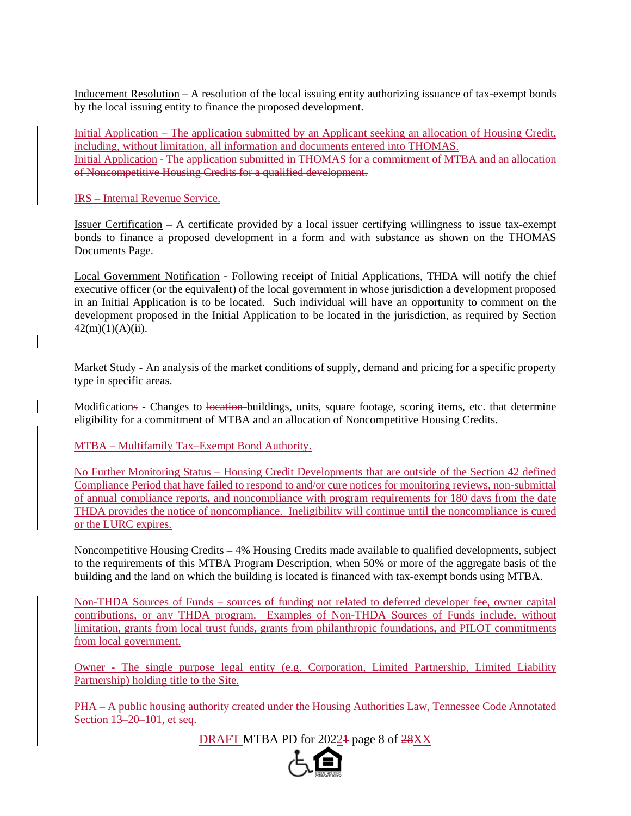Inducement Resolution – A resolution of the local issuing entity authorizing issuance of tax-exempt bonds by the local issuing entity to finance the proposed development.

Initial Application – The application submitted by an Applicant seeking an allocation of Housing Credit, including, without limitation, all information and documents entered into THOMAS. Initial Application - The application submitted in THOMAS for a commitment of MTBA and an allocation of Noncompetitive Housing Credits for a qualified development.

IRS – Internal Revenue Service.

Issuer Certification – A certificate provided by a local issuer certifying willingness to issue tax-exempt bonds to finance a proposed development in a form and with substance as shown on the THOMAS Documents Page.

Local Government Notification - Following receipt of Initial Applications, THDA will notify the chief executive officer (or the equivalent) of the local government in whose jurisdiction a development proposed in an Initial Application is to be located. Such individual will have an opportunity to comment on the development proposed in the Initial Application to be located in the jurisdiction, as required by Section  $42(m)(1)(A)(ii)$ .

Market Study - An analysis of the market conditions of supply, demand and pricing for a specific property type in specific areas.

Modifications - Changes to location buildings, units, square footage, scoring items, etc. that determine eligibility for a commitment of MTBA and an allocation of Noncompetitive Housing Credits.

MTBA – Multifamily Tax–Exempt Bond Authority.

No Further Monitoring Status – Housing Credit Developments that are outside of the Section 42 defined Compliance Period that have failed to respond to and/or cure notices for monitoring reviews, non-submittal of annual compliance reports, and noncompliance with program requirements for 180 days from the date THDA provides the notice of noncompliance. Ineligibility will continue until the noncompliance is cured or the LURC expires.

Noncompetitive Housing Credits – 4% Housing Credits made available to qualified developments, subject to the requirements of this MTBA Program Description, when 50% or more of the aggregate basis of the building and the land on which the building is located is financed with tax-exempt bonds using MTBA.

Non-THDA Sources of Funds – sources of funding not related to deferred developer fee, owner capital contributions, or any THDA program. Examples of Non-THDA Sources of Funds include, without limitation, grants from local trust funds, grants from philanthropic foundations, and PILOT commitments from local government.

Owner - The single purpose legal entity (e.g. Corporation, Limited Partnership, Limited Liability Partnership) holding title to the Site.

PHA – A public housing authority created under the Housing Authorities Law, Tennessee Code Annotated Section 13–20–101, et seq.

DRAFT MTBA PD for 20221 page 8 of 28XX

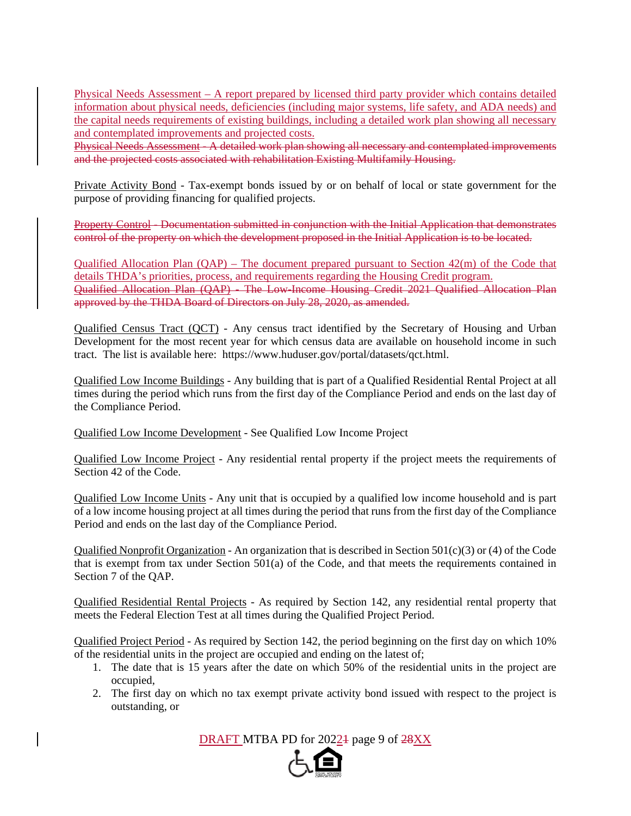Physical Needs Assessment – A report prepared by licensed third party provider which contains detailed information about physical needs, deficiencies (including major systems, life safety, and ADA needs) and the capital needs requirements of existing buildings, including a detailed work plan showing all necessary and contemplated improvements and projected costs.

Physical Needs Assessment - A detailed work plan showing all necessary and contemplated improvements and the projected costs associated with rehabilitation Existing Multifamily Housing.

Private Activity Bond - Tax-exempt bonds issued by or on behalf of local or state government for the purpose of providing financing for qualified projects.

Property Control - Documentation submitted in conjunction with the Initial Application that demonstrates control of the property on which the development proposed in the Initial Application is to be located.

Qualified Allocation Plan (QAP) – The document prepared pursuant to Section 42(m) of the Code that details THDA's priorities, process, and requirements regarding the Housing Credit program. Qualified Allocation Plan (QAP) - The Low-Income Housing Credit 2021 Qualified Allocation Plan approved by the THDA Board of Directors on July 28, 2020, as amended.

Qualified Census Tract (QCT) - Any census tract identified by the Secretary of Housing and Urban Development for the most recent year for which census data are available on household income in such tract. The list is available here: https://www.huduser.gov/portal/datasets/qct.html.

Qualified Low Income Buildings - Any building that is part of a Qualified Residential Rental Project at all times during the period which runs from the first day of the Compliance Period and ends on the last day of the Compliance Period.

Qualified Low Income Development - See Qualified Low Income Project

Qualified Low Income Project - Any residential rental property if the project meets the requirements of Section 42 of the Code.

Qualified Low Income Units - Any unit that is occupied by a qualified low income household and is part of a low income housing project at all times during the period that runs from the first day of the Compliance Period and ends on the last day of the Compliance Period.

Qualified Nonprofit Organization - An organization that is described in Section 501(c)(3) or (4) of the Code that is exempt from tax under Section  $501(a)$  of the Code, and that meets the requirements contained in Section 7 of the QAP.

Qualified Residential Rental Projects - As required by Section 142, any residential rental property that meets the Federal Election Test at all times during the Qualified Project Period.

Qualified Project Period - As required by Section 142, the period beginning on the first day on which 10% of the residential units in the project are occupied and ending on the latest of;

- 1. The date that is 15 years after the date on which 50% of the residential units in the project are occupied,
- 2. The first day on which no tax exempt private activity bond issued with respect to the project is outstanding, or

DRAFT MTBA PD for 20224 page 9 of 28XX

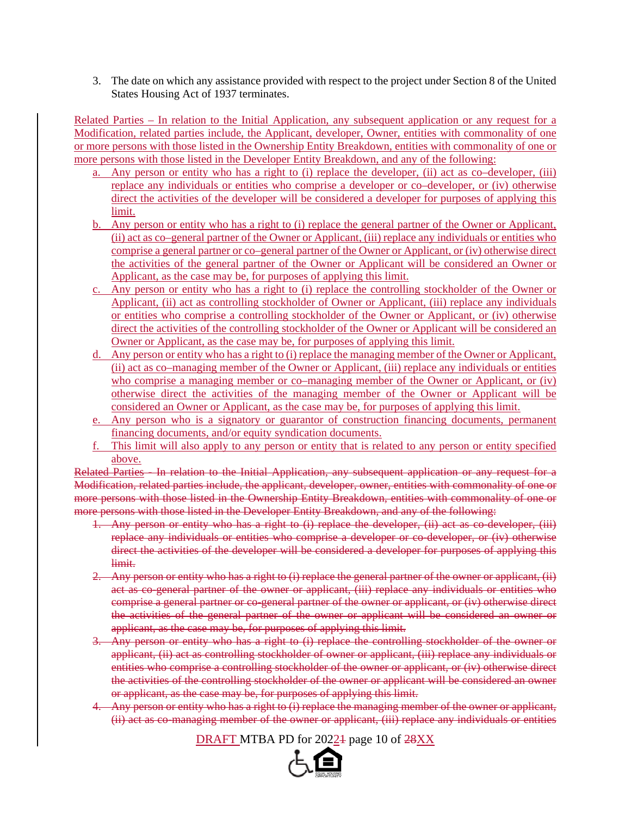3. The date on which any assistance provided with respect to the project under Section 8 of the United States Housing Act of 1937 terminates.

Related Parties – In relation to the Initial Application, any subsequent application or any request for a Modification, related parties include, the Applicant, developer, Owner, entities with commonality of one or more persons with those listed in the Ownership Entity Breakdown, entities with commonality of one or more persons with those listed in the Developer Entity Breakdown, and any of the following:

- a. Any person or entity who has a right to (i) replace the developer, (ii) act as co–developer, (iii) replace any individuals or entities who comprise a developer or co–developer, or (iv) otherwise direct the activities of the developer will be considered a developer for purposes of applying this limit.
- b. Any person or entity who has a right to (i) replace the general partner of the Owner or Applicant, (ii) act as co–general partner of the Owner or Applicant, (iii) replace any individuals or entities who comprise a general partner or co–general partner of the Owner or Applicant, or (iv) otherwise direct the activities of the general partner of the Owner or Applicant will be considered an Owner or Applicant, as the case may be, for purposes of applying this limit.
- c. Any person or entity who has a right to (i) replace the controlling stockholder of the Owner or Applicant, (ii) act as controlling stockholder of Owner or Applicant, (iii) replace any individuals or entities who comprise a controlling stockholder of the Owner or Applicant, or (iv) otherwise direct the activities of the controlling stockholder of the Owner or Applicant will be considered an Owner or Applicant, as the case may be, for purposes of applying this limit.
- d. Any person or entity who has a right to (i) replace the managing member of the Owner or Applicant, (ii) act as co–managing member of the Owner or Applicant, (iii) replace any individuals or entities who comprise a managing member or co–managing member of the Owner or Applicant, or (iv) otherwise direct the activities of the managing member of the Owner or Applicant will be considered an Owner or Applicant, as the case may be, for purposes of applying this limit.
- e. Any person who is a signatory or guarantor of construction financing documents, permanent financing documents, and/or equity syndication documents.
- f. This limit will also apply to any person or entity that is related to any person or entity specified above.

Related Parties - In relation to the Initial Application, any subsequent application or any request for a Modification, related parties include, the applicant, developer, owner, entities with commonality of one or more persons with those listed in the Ownership Entity Breakdown, entities with commonality of one or more persons with those listed in the Developer Entity Breakdown, and any of the following:

- 1. Any person or entity who has a right to (i) replace the developer, (ii) act as co-developer, (iii) replace any individuals or entities who comprise a developer or co-developer, or (iv) otherwise direct the activities of the developer will be considered a developer for purposes of applying this limit.
- 2. Any person or entity who has a right to  $(i)$  replace the general partner of the owner or applicant,  $(ii)$ act as co-general partner of the owner or applicant, (iii) replace any individuals or entities who comprise a general partner or co-general partner of the owner or applicant, or (iv) otherwise direct the activities of the general partner of the owner or applicant will be considered an owner or applicant, as the case may be, for purposes of applying this limit.
- 3. Any person or entity who has a right to (i) replace the controlling stockholder of the owner or applicant, (ii) act as controlling stockholder of owner or applicant, (iii) replace any individuals or entities who comprise a controlling stockholder of the owner or applicant, or (iv) otherwise direct the activities of the controlling stockholder of the owner or applicant will be considered an owner or applicant, as the case may be, for purposes of applying this limit.
- 4. Any person or entity who has a right to (i) replace the managing member of the owner or applicant, (ii) act as co-managing member of the owner or applicant, (iii) replace any individuals or entities

DRAFT MTBA PD for 20224 page 10 of  $28XX$ 

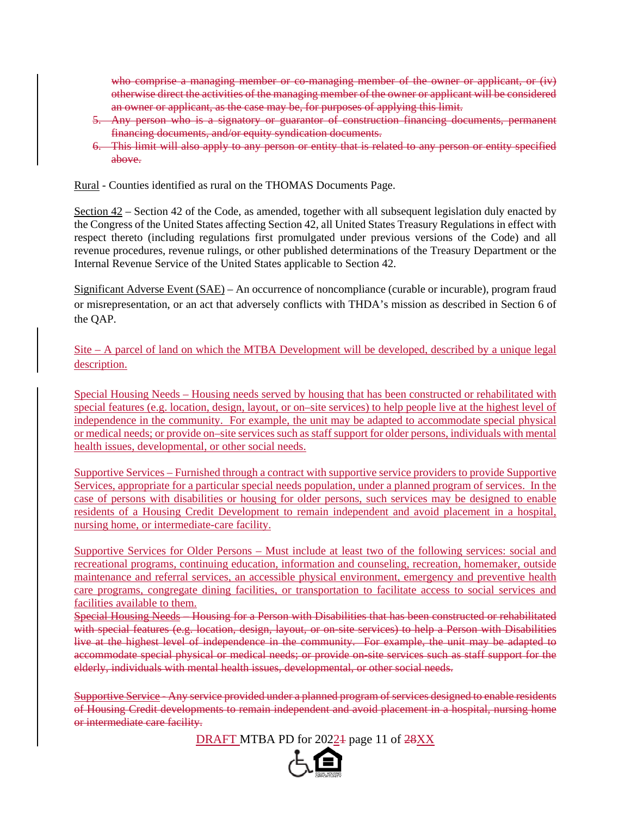who comprise a managing member or co-managing member of the owner or applicant, or  $(iv)$ otherwise direct the activities of the managing member of the owner or applicant will be considered an owner or applicant, as the case may be, for purposes of applying this limit.

- 5. Any person who is a signatory or guarantor of construction financing documents, permanent financing documents, and/or equity syndication documents.
- 6. This limit will also apply to any person or entity that is related to any person or entity specified above.

Rural - Counties identified as rural on the THOMAS Documents Page.

Section 42 – Section 42 of the Code, as amended, together with all subsequent legislation duly enacted by the Congress of the United States affecting Section 42, all United States Treasury Regulations in effect with respect thereto (including regulations first promulgated under previous versions of the Code) and all revenue procedures, revenue rulings, or other published determinations of the Treasury Department or the Internal Revenue Service of the United States applicable to Section 42.

Significant Adverse Event (SAE) – An occurrence of noncompliance (curable or incurable), program fraud or misrepresentation, or an act that adversely conflicts with THDA's mission as described in Section 6 of the QAP.

Site – A parcel of land on which the MTBA Development will be developed, described by a unique legal description.

Special Housing Needs – Housing needs served by housing that has been constructed or rehabilitated with special features (e.g. location, design, layout, or on–site services) to help people live at the highest level of independence in the community. For example, the unit may be adapted to accommodate special physical or medical needs; or provide on–site services such as staff support for older persons, individuals with mental health issues, developmental, or other social needs.

Supportive Services – Furnished through a contract with supportive service providers to provide Supportive Services, appropriate for a particular special needs population, under a planned program of services. In the case of persons with disabilities or housing for older persons, such services may be designed to enable residents of a Housing Credit Development to remain independent and avoid placement in a hospital, nursing home, or intermediate-care facility.

Supportive Services for Older Persons – Must include at least two of the following services: social and recreational programs, continuing education, information and counseling, recreation, homemaker, outside maintenance and referral services, an accessible physical environment, emergency and preventive health care programs, congregate dining facilities, or transportation to facilitate access to social services and facilities available to them.

Special Housing Needs – Housing for a Person with Disabilities that has been constructed or rehabilitated with special features (e.g. location, design, layout, or on-site services) to help a Person with Disabilities live at the highest level of independence in the community. For example, the unit may be adapted to accommodate special physical or medical needs; or provide on-site services such as staff support for the elderly, individuals with mental health issues, developmental, or other social needs.

Supportive Service - Any service provided under a planned program of services designed to enable residents of Housing Credit developments to remain independent and avoid placement in a hospital, nursing home or intermediate care facility.

DRAFT MTBA PD for 2022<sup>1</sup> page 11 of 28XX

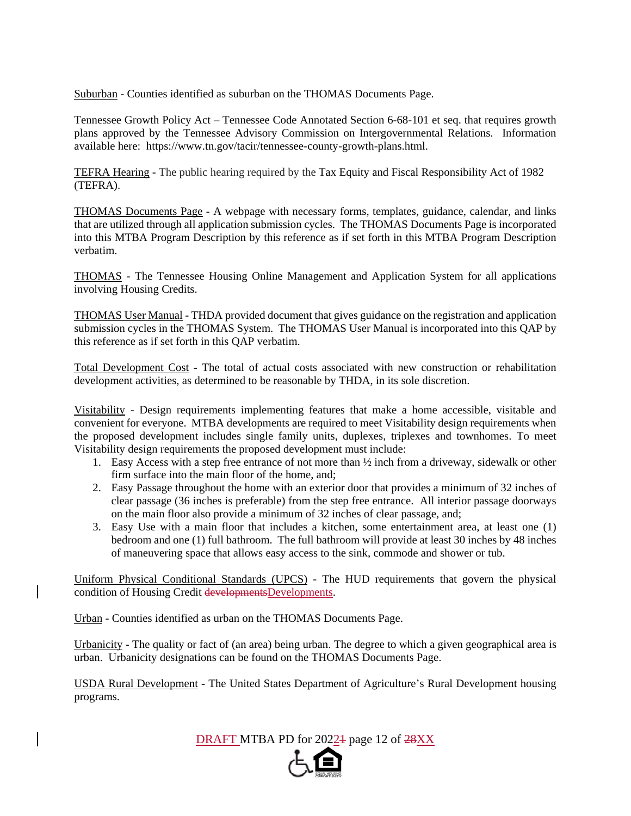Suburban - Counties identified as suburban on the THOMAS Documents Page.

Tennessee Growth Policy Act – Tennessee Code Annotated Section 6-68-101 et seq. that requires growth plans approved by the Tennessee Advisory Commission on Intergovernmental Relations. Information available here: https://www.tn.gov/tacir/tennessee-county-growth-plans.html.

TEFRA Hearing - The public hearing required by the Tax Equity and Fiscal Responsibility Act of 1982 (TEFRA).

THOMAS Documents Page - A webpage with necessary forms, templates, guidance, calendar, and links that are utilized through all application submission cycles. The THOMAS Documents Page is incorporated into this MTBA Program Description by this reference as if set forth in this MTBA Program Description verbatim.

THOMAS - The Tennessee Housing Online Management and Application System for all applications involving Housing Credits.

THOMAS User Manual - THDA provided document that gives guidance on the registration and application submission cycles in the THOMAS System. The THOMAS User Manual is incorporated into this QAP by this reference as if set forth in this QAP verbatim.

Total Development Cost - The total of actual costs associated with new construction or rehabilitation development activities, as determined to be reasonable by THDA, in its sole discretion.

Visitability - Design requirements implementing features that make a home accessible, visitable and convenient for everyone. MTBA developments are required to meet Visitability design requirements when the proposed development includes single family units, duplexes, triplexes and townhomes. To meet Visitability design requirements the proposed development must include:

- 1. Easy Access with a step free entrance of not more than  $\frac{1}{2}$  inch from a driveway, sidewalk or other firm surface into the main floor of the home, and;
- 2. Easy Passage throughout the home with an exterior door that provides a minimum of 32 inches of clear passage (36 inches is preferable) from the step free entrance. All interior passage doorways on the main floor also provide a minimum of 32 inches of clear passage, and;
- 3. Easy Use with a main floor that includes a kitchen, some entertainment area, at least one (1) bedroom and one (1) full bathroom. The full bathroom will provide at least 30 inches by 48 inches of maneuvering space that allows easy access to the sink, commode and shower or tub.

Uniform Physical Conditional Standards (UPCS) - The HUD requirements that govern the physical condition of Housing Credit developmentsDevelopments.

Urban - Counties identified as urban on the THOMAS Documents Page.

Urbanicity - The quality or fact of (an area) being urban. The degree to which a given geographical area is urban. Urbanicity designations can be found on the THOMAS Documents Page.

USDA Rural Development - The United States Department of Agriculture's Rural Development housing programs.

DRAFT MTBA PD for 20224 page 12 of  $28XX$ 

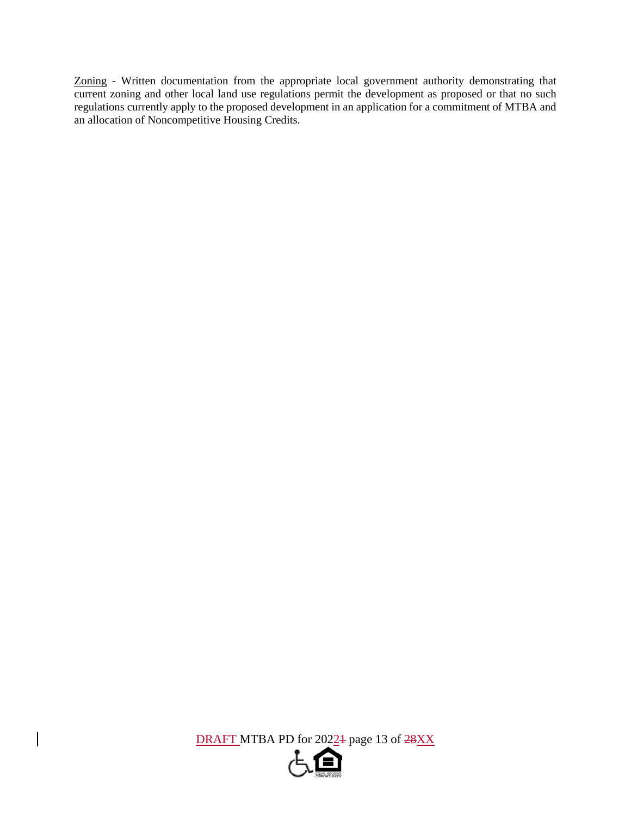Zoning - Written documentation from the appropriate local government authority demonstrating that current zoning and other local land use regulations permit the development as proposed or that no such regulations currently apply to the proposed development in an application for a commitment of MTBA and an allocation of Noncompetitive Housing Credits.

DRAFT MTBA PD for 2022<sup>1</sup> page 13 of 28XX

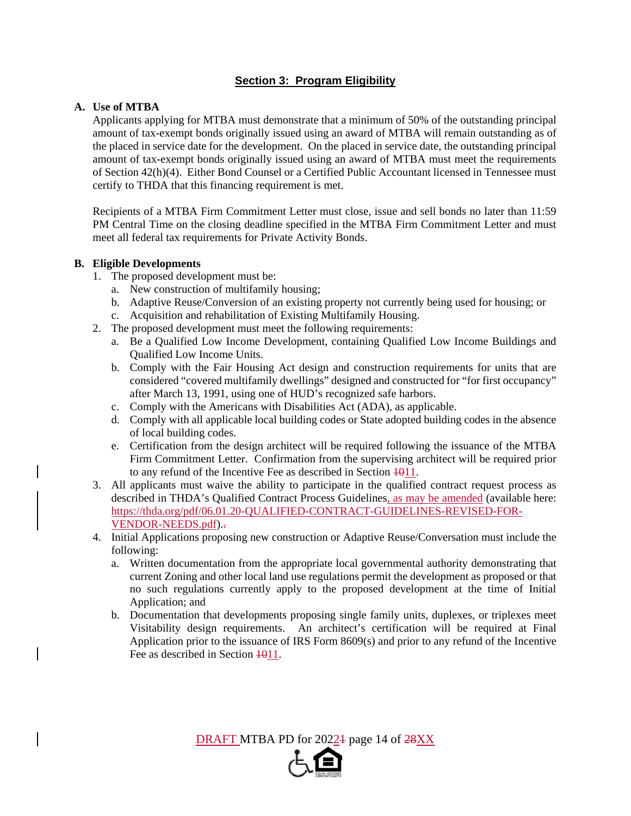## **Section 3: Program Eligibility**

#### **A. Use of MTBA**

Applicants applying for MTBA must demonstrate that a minimum of 50% of the outstanding principal amount of tax-exempt bonds originally issued using an award of MTBA will remain outstanding as of the placed in service date for the development. On the placed in service date, the outstanding principal amount of tax-exempt bonds originally issued using an award of MTBA must meet the requirements of Section 42(h)(4). Either Bond Counsel or a Certified Public Accountant licensed in Tennessee must certify to THDA that this financing requirement is met.

Recipients of a MTBA Firm Commitment Letter must close, issue and sell bonds no later than 11:59 PM Central Time on the closing deadline specified in the MTBA Firm Commitment Letter and must meet all federal tax requirements for Private Activity Bonds.

#### **B. Eligible Developments**

- 1. The proposed development must be:
	- a. New construction of multifamily housing;
	- b. Adaptive Reuse/Conversion of an existing property not currently being used for housing; or
	- c. Acquisition and rehabilitation of Existing Multifamily Housing.
- 2. The proposed development must meet the following requirements:
	- a. Be a Qualified Low Income Development, containing Qualified Low Income Buildings and Qualified Low Income Units.
	- b. Comply with the Fair Housing Act design and construction requirements for units that are considered "covered multifamily dwellings" designed and constructed for "for first occupancy" after March 13, 1991, using one of HUD's recognized safe harbors.
	- c. Comply with the Americans with Disabilities Act (ADA), as applicable.
	- d. Comply with all applicable local building codes or State adopted building codes in the absence of local building codes.
	- e. Certification from the design architect will be required following the issuance of the MTBA Firm Commitment Letter. Confirmation from the supervising architect will be required prior to any refund of the Incentive Fee as described in Section  $\frac{1011}{100}$ .
- 3. All applicants must waive the ability to participate in the qualified contract request process as described in THDA's Qualified Contract Process Guidelines, as may be amended (available here: https://thda.org/pdf/06.01.20-QUALIFIED-CONTRACT-GUIDELINES-REVISED-FOR-VENDOR-NEEDS.pdf)..
- 4. Initial Applications proposing new construction or Adaptive Reuse/Conversation must include the following:
	- a. Written documentation from the appropriate local governmental authority demonstrating that current Zoning and other local land use regulations permit the development as proposed or that no such regulations currently apply to the proposed development at the time of Initial Application; and
	- b. Documentation that developments proposing single family units, duplexes, or triplexes meet Visitability design requirements. An architect's certification will be required at Final Application prior to the issuance of IRS Form 8609(s) and prior to any refund of the Incentive Fee as described in Section  $\frac{1011}{100}$ .

DRAFT MTBA PD for 20224 page 14 of  $28XX$ 

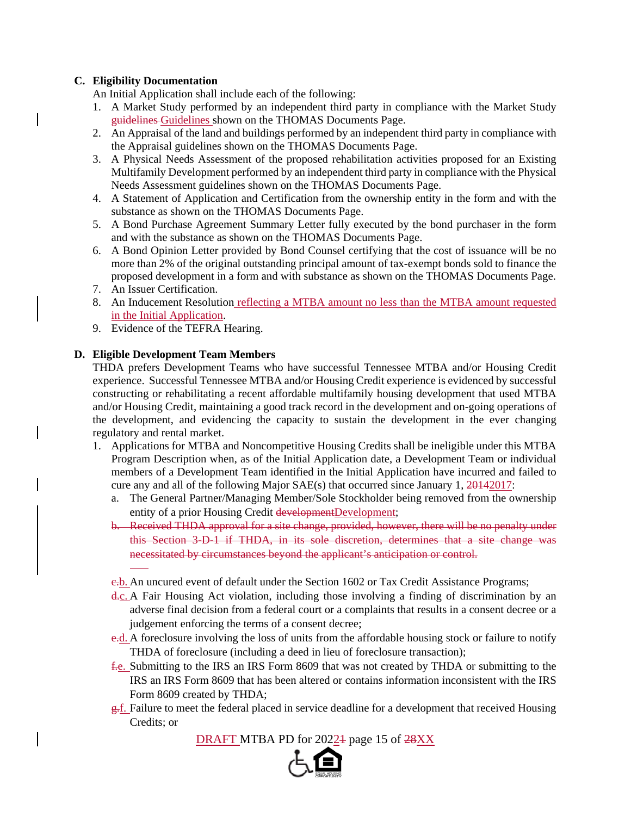#### **C. Eligibility Documentation**

An Initial Application shall include each of the following:

- 1. A Market Study performed by an independent third party in compliance with the Market Study guidelines Guidelines shown on the THOMAS Documents Page.
- 2. An Appraisal of the land and buildings performed by an independent third party in compliance with the Appraisal guidelines shown on the THOMAS Documents Page.
- 3. A Physical Needs Assessment of the proposed rehabilitation activities proposed for an Existing Multifamily Development performed by an independent third party in compliance with the Physical Needs Assessment guidelines shown on the THOMAS Documents Page.
- 4. A Statement of Application and Certification from the ownership entity in the form and with the substance as shown on the THOMAS Documents Page.
- 5. A Bond Purchase Agreement Summary Letter fully executed by the bond purchaser in the form and with the substance as shown on the THOMAS Documents Page.
- 6. A Bond Opinion Letter provided by Bond Counsel certifying that the cost of issuance will be no more than 2% of the original outstanding principal amount of tax-exempt bonds sold to finance the proposed development in a form and with substance as shown on the THOMAS Documents Page.
- 7. An Issuer Certification.

 $\overline{a}$ 

- 8. An Inducement Resolution reflecting a MTBA amount no less than the MTBA amount requested in the Initial Application.
- 9. Evidence of the TEFRA Hearing.

#### **D. Eligible Development Team Members**

THDA prefers Development Teams who have successful Tennessee MTBA and/or Housing Credit experience. Successful Tennessee MTBA and/or Housing Credit experience is evidenced by successful constructing or rehabilitating a recent affordable multifamily housing development that used MTBA and/or Housing Credit, maintaining a good track record in the development and on-going operations of the development, and evidencing the capacity to sustain the development in the ever changing regulatory and rental market.

- 1. Applications for MTBA and Noncompetitive Housing Credits shall be ineligible under this MTBA Program Description when, as of the Initial Application date, a Development Team or individual members of a Development Team identified in the Initial Application have incurred and failed to cure any and all of the following Major SAE(s) that occurred since January 1, 20142017:
	- a. The General Partner/Managing Member/Sole Stockholder being removed from the ownership entity of a prior Housing Credit developmentDevelopment;
	- b. Received THDA approval for a site change, provided, however, there will be no penalty under this Section 3-D-1 if THDA, in its sole discretion, determines that a site change was necessitated by circumstances beyond the applicant's anticipation or control.
	- e.b. An uncured event of default under the Section 1602 or Tax Credit Assistance Programs;
	- d.c. A Fair Housing Act violation, including those involving a finding of discrimination by an adverse final decision from a federal court or a complaints that results in a consent decree or a judgement enforcing the terms of a consent decree;
	- e.d. A foreclosure involving the loss of units from the affordable housing stock or failure to notify THDA of foreclosure (including a deed in lieu of foreclosure transaction);
	- f.e. Submitting to the IRS an IRS Form 8609 that was not created by THDA or submitting to the IRS an IRS Form 8609 that has been altered or contains information inconsistent with the IRS Form 8609 created by THDA;
	- g.f. Failure to meet the federal placed in service deadline for a development that received Housing Credits; or

DRAFT MTBA PD for 20224 page 15 of  $28XX$ 

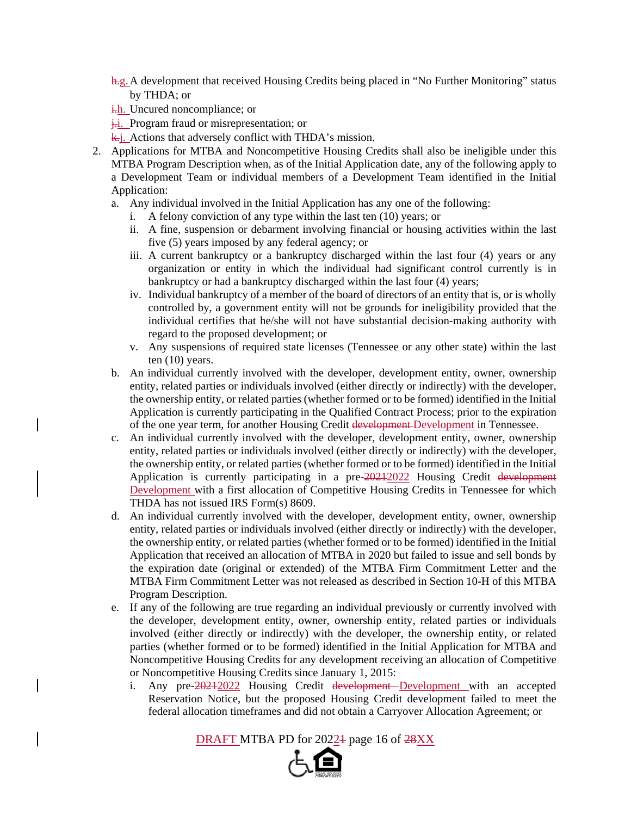- h.g.A development that received Housing Credits being placed in "No Further Monitoring" status by THDA; or
- i.h. Uncured noncompliance; or
- $\frac{1}{k}$ . Program fraud or misrepresentation; or
- k.j. Actions that adversely conflict with THDA's mission.
- 2. Applications for MTBA and Noncompetitive Housing Credits shall also be ineligible under this MTBA Program Description when, as of the Initial Application date, any of the following apply to a Development Team or individual members of a Development Team identified in the Initial Application:
	- a. Any individual involved in the Initial Application has any one of the following:
		- i. A felony conviction of any type within the last ten (10) years; or
		- ii. A fine, suspension or debarment involving financial or housing activities within the last five (5) years imposed by any federal agency; or
		- iii. A current bankruptcy or a bankruptcy discharged within the last four (4) years or any organization or entity in which the individual had significant control currently is in bankruptcy or had a bankruptcy discharged within the last four (4) years;
		- iv. Individual bankruptcy of a member of the board of directors of an entity that is, or is wholly controlled by, a government entity will not be grounds for ineligibility provided that the individual certifies that he/she will not have substantial decision-making authority with regard to the proposed development; or
		- v. Any suspensions of required state licenses (Tennessee or any other state) within the last ten (10) years.
	- b. An individual currently involved with the developer, development entity, owner, ownership entity, related parties or individuals involved (either directly or indirectly) with the developer, the ownership entity, or related parties (whether formed or to be formed) identified in the Initial Application is currently participating in the Qualified Contract Process; prior to the expiration of the one year term, for another Housing Credit development Development in Tennessee.
	- c. An individual currently involved with the developer, development entity, owner, ownership entity, related parties or individuals involved (either directly or indirectly) with the developer, the ownership entity, or related parties (whether formed or to be formed) identified in the Initial Application is currently participating in a pre-20212022 Housing Credit development Development with a first allocation of Competitive Housing Credits in Tennessee for which THDA has not issued IRS Form(s) 8609.
	- d. An individual currently involved with the developer, development entity, owner, ownership entity, related parties or individuals involved (either directly or indirectly) with the developer, the ownership entity, or related parties (whether formed or to be formed) identified in the Initial Application that received an allocation of MTBA in 2020 but failed to issue and sell bonds by the expiration date (original or extended) of the MTBA Firm Commitment Letter and the MTBA Firm Commitment Letter was not released as described in Section 10-H of this MTBA Program Description.
	- e. If any of the following are true regarding an individual previously or currently involved with the developer, development entity, owner, ownership entity, related parties or individuals involved (either directly or indirectly) with the developer, the ownership entity, or related parties (whether formed or to be formed) identified in the Initial Application for MTBA and Noncompetitive Housing Credits for any development receiving an allocation of Competitive or Noncompetitive Housing Credits since January 1, 2015:
		- i. Any pre-20212022 Housing Credit development-Development with an accepted Reservation Notice, but the proposed Housing Credit development failed to meet the federal allocation timeframes and did not obtain a Carryover Allocation Agreement; or

DRAFT MTBA PD for 20224 page 16 of  $28XX$ 

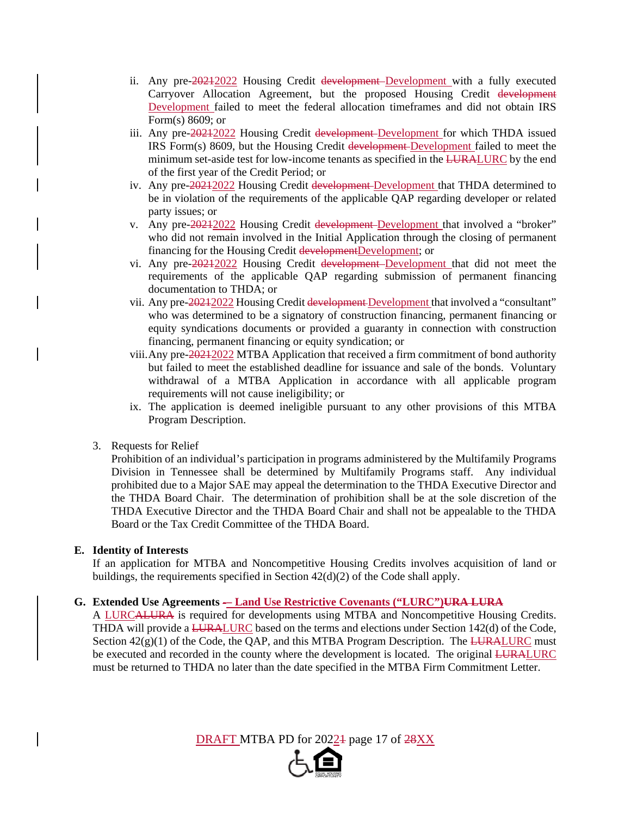- ii. Any pre-20212022 Housing Credit development Development with a fully executed Carryover Allocation Agreement, but the proposed Housing Credit development Development failed to meet the federal allocation timeframes and did not obtain IRS Form(s) 8609; or
- iii. Any pre-20212022 Housing Credit development-Development for which THDA issued IRS Form(s) 8609, but the Housing Credit development Development failed to meet the minimum set-aside test for low-income tenants as specified in the LURALURC by the end of the first year of the Credit Period; or
- iv. Any pre-20212022 Housing Credit development Development that THDA determined to be in violation of the requirements of the applicable QAP regarding developer or related party issues; or
- v. Any pre-20212022 Housing Credit development Development that involved a "broker" who did not remain involved in the Initial Application through the closing of permanent financing for the Housing Credit developmentDevelopment; or
- vi. Any pre-20212022 Housing Credit development Development that did not meet the requirements of the applicable QAP regarding submission of permanent financing documentation to THDA; or
- vii. Any pre-20212022 Housing Credit development Development that involved a "consultant" who was determined to be a signatory of construction financing, permanent financing or equity syndications documents or provided a guaranty in connection with construction financing, permanent financing or equity syndication; or
- viii. Any pre-20212022 MTBA Application that received a firm commitment of bond authority but failed to meet the established deadline for issuance and sale of the bonds. Voluntary withdrawal of a MTBA Application in accordance with all applicable program requirements will not cause ineligibility; or
- ix. The application is deemed ineligible pursuant to any other provisions of this MTBA Program Description.
- 3. Requests for Relief

Prohibition of an individual's participation in programs administered by the Multifamily Programs Division in Tennessee shall be determined by Multifamily Programs staff. Any individual prohibited due to a Major SAE may appeal the determination to the THDA Executive Director and the THDA Board Chair. The determination of prohibition shall be at the sole discretion of the THDA Executive Director and the THDA Board Chair and shall not be appealable to the THDA Board or the Tax Credit Committee of the THDA Board.

#### **E. Identity of Interests**

If an application for MTBA and Noncompetitive Housing Credits involves acquisition of land or buildings, the requirements specified in Section 42(d)(2) of the Code shall apply.

#### **G. Extended Use Agreements -– Land Use Restrictive Covenants ("LURC")URA LURA**

A LURCALURA is required for developments using MTBA and Noncompetitive Housing Credits. THDA will provide a **LURALURC** based on the terms and elections under Section 142(d) of the Code, Section  $42(g)(1)$  of the Code, the QAP, and this MTBA Program Description. The LURALURC must be executed and recorded in the county where the development is located. The original LURALURC must be returned to THDA no later than the date specified in the MTBA Firm Commitment Letter.

DRAFT MTBA PD for 2022<sup>1</sup> page 17 of 28XX

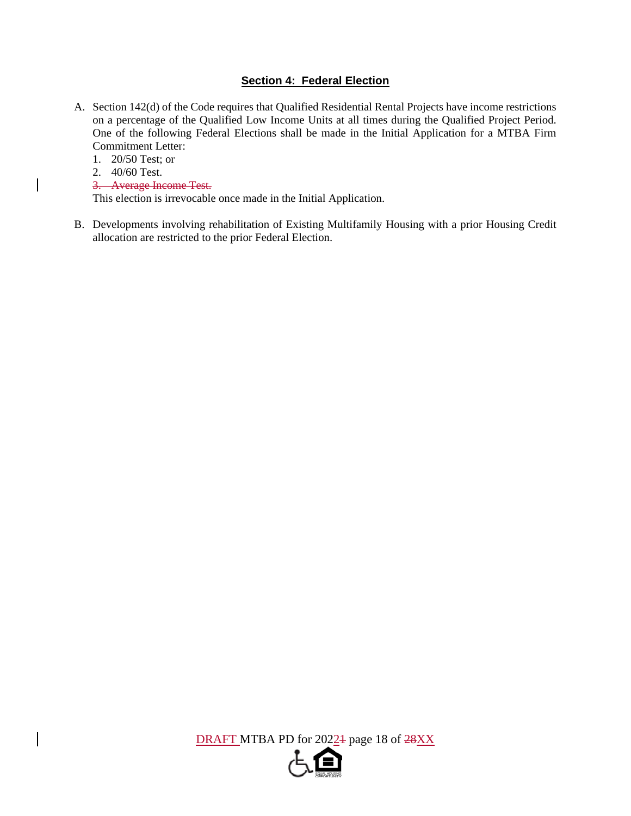## **Section 4: Federal Election**

- A. Section 142(d) of the Code requires that Qualified Residential Rental Projects have income restrictions on a percentage of the Qualified Low Income Units at all times during the Qualified Project Period. One of the following Federal Elections shall be made in the Initial Application for a MTBA Firm Commitment Letter:
	- 1. 20/50 Test; or
	- 2. 40/60 Test.
	- 3. Average Income Test.

This election is irrevocable once made in the Initial Application.

B. Developments involving rehabilitation of Existing Multifamily Housing with a prior Housing Credit allocation are restricted to the prior Federal Election.

DRAFT MTBA PD for 2022<sup>4</sup> page 18 of  $28XX$ 

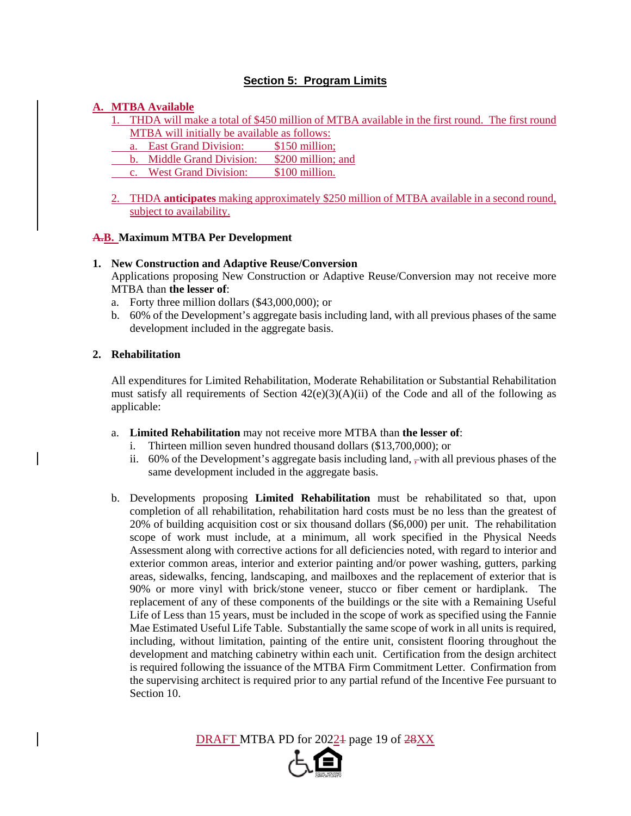## **Section 5: Program Limits**

### **A. MTBA Available**

- 1. THDA will make a total of \$450 million of MTBA available in the first round. The first round MTBA will initially be available as follows:
	- a. East Grand Division: \$150 million;
- b. Middle Grand Division: \$200 million; and
- c. West Grand Division: \$100 million.
- 2. THDA **anticipates** making approximately \$250 million of MTBA available in a second round, subject to availability.

#### **A.B. Maximum MTBA Per Development**

#### **1. New Construction and Adaptive Reuse/Conversion**

Applications proposing New Construction or Adaptive Reuse/Conversion may not receive more MTBA than **the lesser of**:

- a. Forty three million dollars (\$43,000,000); or
- b. 60% of the Development's aggregate basis including land, with all previous phases of the same development included in the aggregate basis.

#### **2. Rehabilitation**

All expenditures for Limited Rehabilitation, Moderate Rehabilitation or Substantial Rehabilitation must satisfy all requirements of Section  $42(e)(3)(A)(ii)$  of the Code and all of the following as applicable:

- a. **Limited Rehabilitation** may not receive more MTBA than **the lesser of**:
	- i. Thirteen million seven hundred thousand dollars (\$13,700,000); or
	- ii.  $60\%$  of the Development's aggregate basis including land,  $\frac{1}{2}$  with all previous phases of the same development included in the aggregate basis.
- b. Developments proposing **Limited Rehabilitation** must be rehabilitated so that, upon completion of all rehabilitation, rehabilitation hard costs must be no less than the greatest of 20% of building acquisition cost or six thousand dollars (\$6,000) per unit. The rehabilitation scope of work must include, at a minimum, all work specified in the Physical Needs Assessment along with corrective actions for all deficiencies noted, with regard to interior and exterior common areas, interior and exterior painting and/or power washing, gutters, parking areas, sidewalks, fencing, landscaping, and mailboxes and the replacement of exterior that is 90% or more vinyl with brick/stone veneer, stucco or fiber cement or hardiplank. The replacement of any of these components of the buildings or the site with a Remaining Useful Life of Less than 15 years, must be included in the scope of work as specified using the Fannie Mae Estimated Useful Life Table. Substantially the same scope of work in all units is required, including, without limitation, painting of the entire unit, consistent flooring throughout the development and matching cabinetry within each unit. Certification from the design architect is required following the issuance of the MTBA Firm Commitment Letter. Confirmation from the supervising architect is required prior to any partial refund of the Incentive Fee pursuant to Section 10.

DRAFT MTBA PD for 2022<sup>1</sup> page 19 of 28XX

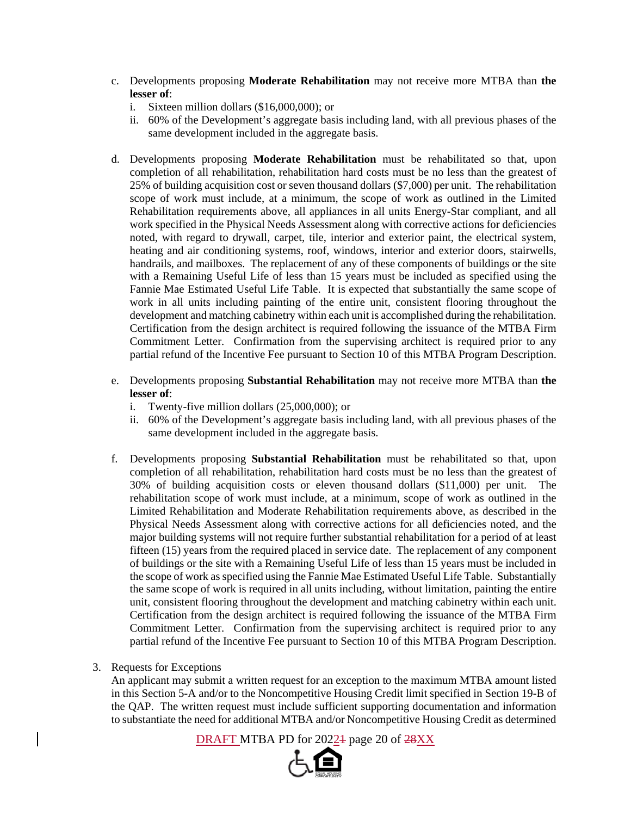- c. Developments proposing **Moderate Rehabilitation** may not receive more MTBA than **the lesser of**:
	- i. Sixteen million dollars (\$16,000,000); or
	- ii. 60% of the Development's aggregate basis including land, with all previous phases of the same development included in the aggregate basis.
- d. Developments proposing **Moderate Rehabilitation** must be rehabilitated so that, upon completion of all rehabilitation, rehabilitation hard costs must be no less than the greatest of 25% of building acquisition cost or seven thousand dollars (\$7,000) per unit. The rehabilitation scope of work must include, at a minimum, the scope of work as outlined in the Limited Rehabilitation requirements above, all appliances in all units Energy-Star compliant, and all work specified in the Physical Needs Assessment along with corrective actions for deficiencies noted, with regard to drywall, carpet, tile, interior and exterior paint, the electrical system, heating and air conditioning systems, roof, windows, interior and exterior doors, stairwells, handrails, and mailboxes. The replacement of any of these components of buildings or the site with a Remaining Useful Life of less than 15 years must be included as specified using the Fannie Mae Estimated Useful Life Table. It is expected that substantially the same scope of work in all units including painting of the entire unit, consistent flooring throughout the development and matching cabinetry within each unit is accomplished during the rehabilitation. Certification from the design architect is required following the issuance of the MTBA Firm Commitment Letter. Confirmation from the supervising architect is required prior to any partial refund of the Incentive Fee pursuant to Section 10 of this MTBA Program Description.
- e. Developments proposing **Substantial Rehabilitation** may not receive more MTBA than **the lesser of**:
	- i. Twenty-five million dollars (25,000,000); or
	- ii. 60% of the Development's aggregate basis including land, with all previous phases of the same development included in the aggregate basis.
- f. Developments proposing **Substantial Rehabilitation** must be rehabilitated so that, upon completion of all rehabilitation, rehabilitation hard costs must be no less than the greatest of 30% of building acquisition costs or eleven thousand dollars (\$11,000) per unit. The rehabilitation scope of work must include, at a minimum, scope of work as outlined in the Limited Rehabilitation and Moderate Rehabilitation requirements above, as described in the Physical Needs Assessment along with corrective actions for all deficiencies noted, and the major building systems will not require further substantial rehabilitation for a period of at least fifteen (15) years from the required placed in service date. The replacement of any component of buildings or the site with a Remaining Useful Life of less than 15 years must be included in the scope of work as specified using the Fannie Mae Estimated Useful Life Table. Substantially the same scope of work is required in all units including, without limitation, painting the entire unit, consistent flooring throughout the development and matching cabinetry within each unit. Certification from the design architect is required following the issuance of the MTBA Firm Commitment Letter. Confirmation from the supervising architect is required prior to any partial refund of the Incentive Fee pursuant to Section 10 of this MTBA Program Description.

#### 3. Requests for Exceptions

An applicant may submit a written request for an exception to the maximum MTBA amount listed in this Section 5-A and/or to the Noncompetitive Housing Credit limit specified in Section 19-B of the QAP. The written request must include sufficient supporting documentation and information to substantiate the need for additional MTBA and/or Noncompetitive Housing Credit as determined

DRAFT MTBA PD for 20224 page 20 of  $28XX$ 

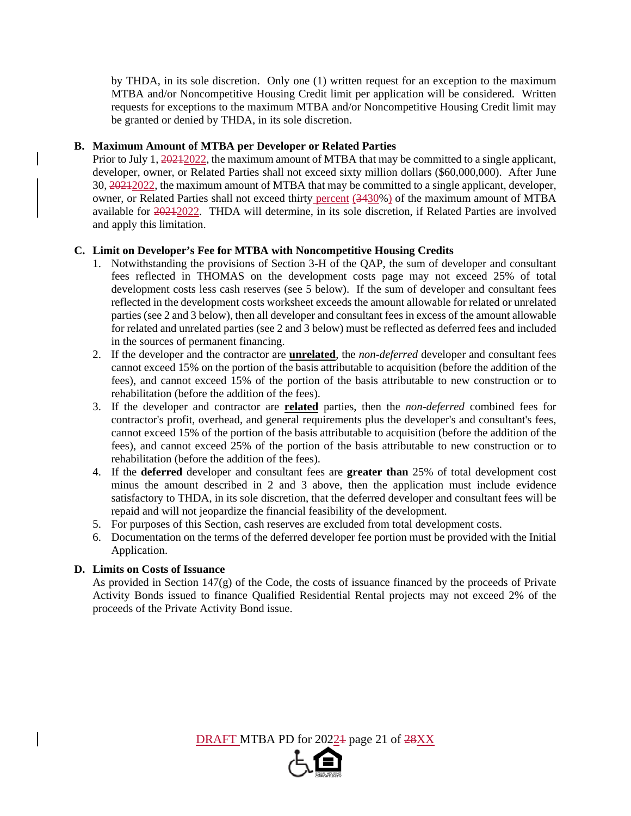by THDA, in its sole discretion. Only one (1) written request for an exception to the maximum MTBA and/or Noncompetitive Housing Credit limit per application will be considered. Written requests for exceptions to the maximum MTBA and/or Noncompetitive Housing Credit limit may be granted or denied by THDA, in its sole discretion.

#### **B. Maximum Amount of MTBA per Developer or Related Parties**

Prior to July 1, 2021/2022, the maximum amount of MTBA that may be committed to a single applicant, developer, owner, or Related Parties shall not exceed sixty million dollars (\$60,000,000). After June 30, 20212022, the maximum amount of MTBA that may be committed to a single applicant, developer, owner, or Related Parties shall not exceed thirty percent (3430%) of the maximum amount of MTBA available for 20212022. THDA will determine, in its sole discretion, if Related Parties are involved and apply this limitation.

#### **C. Limit on Developer's Fee for MTBA with Noncompetitive Housing Credits**

- 1. Notwithstanding the provisions of Section 3-H of the QAP, the sum of developer and consultant fees reflected in THOMAS on the development costs page may not exceed 25% of total development costs less cash reserves (see 5 below). If the sum of developer and consultant fees reflected in the development costs worksheet exceeds the amount allowable for related or unrelated parties (see 2 and 3 below), then all developer and consultant fees in excess of the amount allowable for related and unrelated parties (see 2 and 3 below) must be reflected as deferred fees and included in the sources of permanent financing.
- 2. If the developer and the contractor are **unrelated**, the *non-deferred* developer and consultant fees cannot exceed 15% on the portion of the basis attributable to acquisition (before the addition of the fees), and cannot exceed 15% of the portion of the basis attributable to new construction or to rehabilitation (before the addition of the fees).
- 3. If the developer and contractor are **related** parties, then the *non-deferred* combined fees for contractor's profit, overhead, and general requirements plus the developer's and consultant's fees, cannot exceed 15% of the portion of the basis attributable to acquisition (before the addition of the fees), and cannot exceed 25% of the portion of the basis attributable to new construction or to rehabilitation (before the addition of the fees).
- 4. If the **deferred** developer and consultant fees are **greater than** 25% of total development cost minus the amount described in 2 and 3 above, then the application must include evidence satisfactory to THDA, in its sole discretion, that the deferred developer and consultant fees will be repaid and will not jeopardize the financial feasibility of the development.
- 5. For purposes of this Section, cash reserves are excluded from total development costs.
- 6. Documentation on the terms of the deferred developer fee portion must be provided with the Initial Application.

#### **D. Limits on Costs of Issuance**

As provided in Section  $147(g)$  of the Code, the costs of issuance financed by the proceeds of Private Activity Bonds issued to finance Qualified Residential Rental projects may not exceed 2% of the proceeds of the Private Activity Bond issue.

DRAFT MTBA PD for 20221 page 21 of 28XX

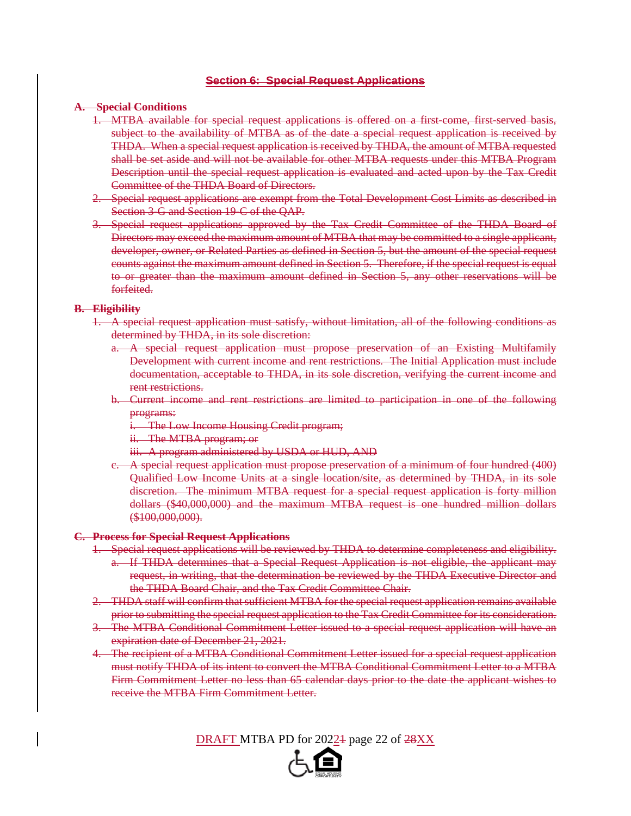#### **Section 6: Special Request Applications**

#### **A. Special Conditions**

- 1. MTBA available for special request applications is offered on a first-come, first-served basis, subject to the availability of MTBA as of the date a special request application is received by THDA. When a special request application is received by THDA, the amount of MTBA requested shall be set aside and will not be available for other MTBA requests under this MTBA Program Description until the special request application is evaluated and acted upon by the Tax Credit Committee of the THDA Board of Directors.
- 2. Special request applications are exempt from the Total Development Cost Limits as described in Section 3-G and Section 19-C of the QAP.
- 3. Special request applications approved by the Tax Credit Committee of the THDA Board of Directors may exceed the maximum amount of MTBA that may be committed to a single applicant, developer, owner, or Related Parties as defined in Section 5, but the amount of the special request counts against the maximum amount defined in Section 5. Therefore, if the special request is equal to or greater than the maximum amount defined in Section 5, any other reservations will be forfeited.

#### **B. Eligibility**

- 1. A special request application must satisfy, without limitation, all of the following conditions as determined by THDA, in its sole discretion:
	- a. A special request application must propose preservation of an Existing Multifamily Development with current income and rent restrictions. The Initial Application must include documentation, acceptable to THDA, in its sole discretion, verifying the current income and rent restrictions.
	- b. Current income and rent restrictions are limited to participation in one of the following programs:
		- i. The Low Income Housing Credit program;
		- ii. The MTBA program; or
		- iii. A program administered by USDA or HUD, AND
	- c. A special request application must propose preservation of a minimum of four hundred (400) Qualified Low Income Units at a single location/site, as determined by THDA, in its sole discretion. The minimum MTBA request for a special request application is forty million dollars (\$40,000,000) and the maximum MTBA request is one hundred million dollars (\$100,000,000).

#### **C. Process for Special Request Applications**

- 1. Special request applications will be reviewed by THDA to determine completeness and eligibility. a. If THDA determines that a Special Request Application is not eligible, the applicant may request, in writing, that the determination be reviewed by the THDA Executive Director and the THDA Board Chair, and the Tax Credit Committee Chair.
- 2. THDA staff will confirm that sufficient MTBA for the special request application remains available prior to submitting the special request application to the Tax Credit Committee for its consideration.
- 3. The MTBA Conditional Commitment Letter issued to a special request application will have an expiration date of December 21, 2021.
- 4. The recipient of a MTBA Conditional Commitment Letter issued for a special request application must notify THDA of its intent to convert the MTBA Conditional Commitment Letter to a MTBA Firm Commitment Letter no less than 65 calendar days prior to the date the applicant wishes to receive the MTBA Firm Commitment Letter.

DRAFT MTBA PD for 20221 page 22 of 28XX

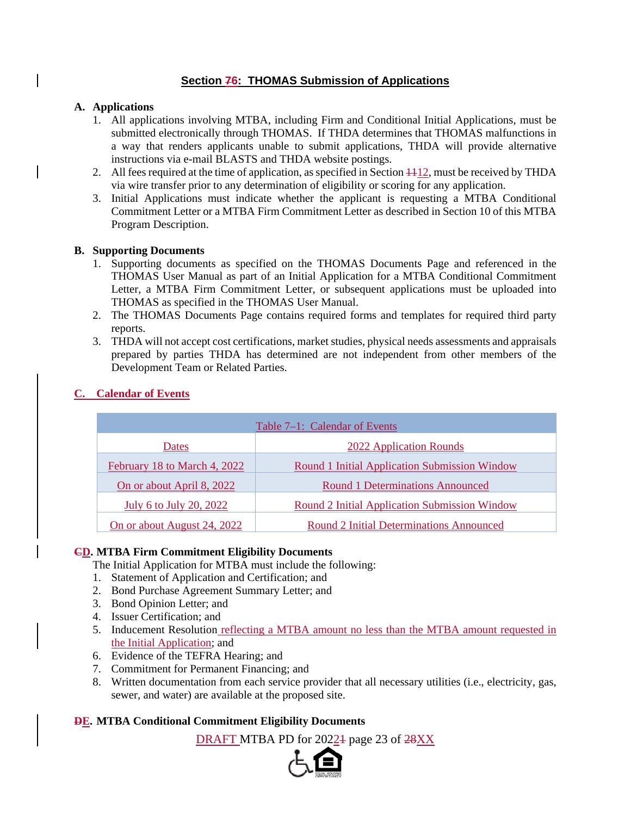## **Section 76: THOMAS Submission of Applications**

### **A. Applications**

- 1. All applications involving MTBA, including Firm and Conditional Initial Applications, must be submitted electronically through THOMAS. If THDA determines that THOMAS malfunctions in a way that renders applicants unable to submit applications, THDA will provide alternative instructions via e-mail BLASTS and THDA website postings.
- 2. All fees required at the time of application, as specified in Section  $\frac{1}{12}$ , must be received by THDA via wire transfer prior to any determination of eligibility or scoring for any application.
- 3. Initial Applications must indicate whether the applicant is requesting a MTBA Conditional Commitment Letter or a MTBA Firm Commitment Letter as described in Section 10 of this MTBA Program Description.

#### **B. Supporting Documents**

- 1. Supporting documents as specified on the THOMAS Documents Page and referenced in the THOMAS User Manual as part of an Initial Application for a MTBA Conditional Commitment Letter, a MTBA Firm Commitment Letter, or subsequent applications must be uploaded into THOMAS as specified in the THOMAS User Manual.
- 2. The THOMAS Documents Page contains required forms and templates for required third party reports.
- 3. THDA will not accept cost certifications, market studies, physical needs assessments and appraisals prepared by parties THDA has determined are not independent from other members of the Development Team or Related Parties.

| Table 7-1: Calendar of Events |                                               |  |  |  |  |
|-------------------------------|-----------------------------------------------|--|--|--|--|
| Dates                         | 2022 Application Rounds                       |  |  |  |  |
| February 18 to March 4, 2022  | Round 1 Initial Application Submission Window |  |  |  |  |
| On or about April 8, 2022     | <b>Round 1 Determinations Announced</b>       |  |  |  |  |
| July 6 to July 20, 2022       | Round 2 Initial Application Submission Window |  |  |  |  |
| On or about August 24, 2022   | Round 2 Initial Determinations Announced      |  |  |  |  |

#### **C. Calendar of Events**

## **CD. MTBA Firm Commitment Eligibility Documents**

The Initial Application for MTBA must include the following:

- 1. Statement of Application and Certification; and
- 2. Bond Purchase Agreement Summary Letter; and
- 3. Bond Opinion Letter; and
- 4. Issuer Certification; and
- 5. Inducement Resolution reflecting a MTBA amount no less than the MTBA amount requested in the Initial Application; and
- 6. Evidence of the TEFRA Hearing; and
- 7. Commitment for Permanent Financing; and
- 8. Written documentation from each service provider that all necessary utilities (i.e., electricity, gas, sewer, and water) are available at the proposed site.

## **DE. MTBA Conditional Commitment Eligibility Documents**

DRAFT MTBA PD for 20224 page 23 of  $28XX$ 

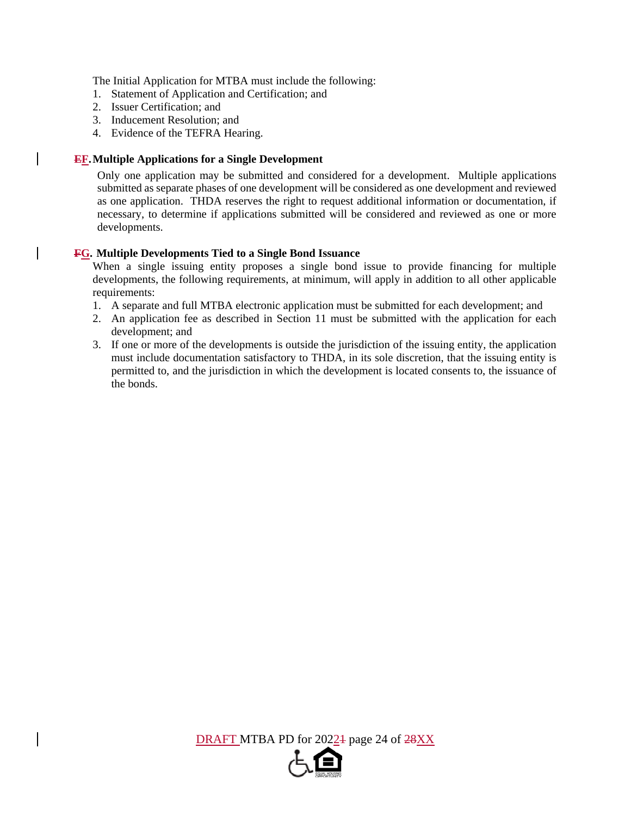The Initial Application for MTBA must include the following:

- 1. Statement of Application and Certification; and
- 2. Issuer Certification; and
- 3. Inducement Resolution; and
- 4. Evidence of the TEFRA Hearing.

#### **EF. Multiple Applications for a Single Development**

Only one application may be submitted and considered for a development. Multiple applications submitted as separate phases of one development will be considered as one development and reviewed as one application. THDA reserves the right to request additional information or documentation, if necessary, to determine if applications submitted will be considered and reviewed as one or more developments.

#### **FG. Multiple Developments Tied to a Single Bond Issuance**

When a single issuing entity proposes a single bond issue to provide financing for multiple developments, the following requirements, at minimum, will apply in addition to all other applicable requirements:

- 1. A separate and full MTBA electronic application must be submitted for each development; and
- 2. An application fee as described in Section 11 must be submitted with the application for each development; and
- 3. If one or more of the developments is outside the jurisdiction of the issuing entity, the application must include documentation satisfactory to THDA, in its sole discretion, that the issuing entity is permitted to, and the jurisdiction in which the development is located consents to, the issuance of the bonds.

DRAFT MTBA PD for 20224 page 24 of 28XX

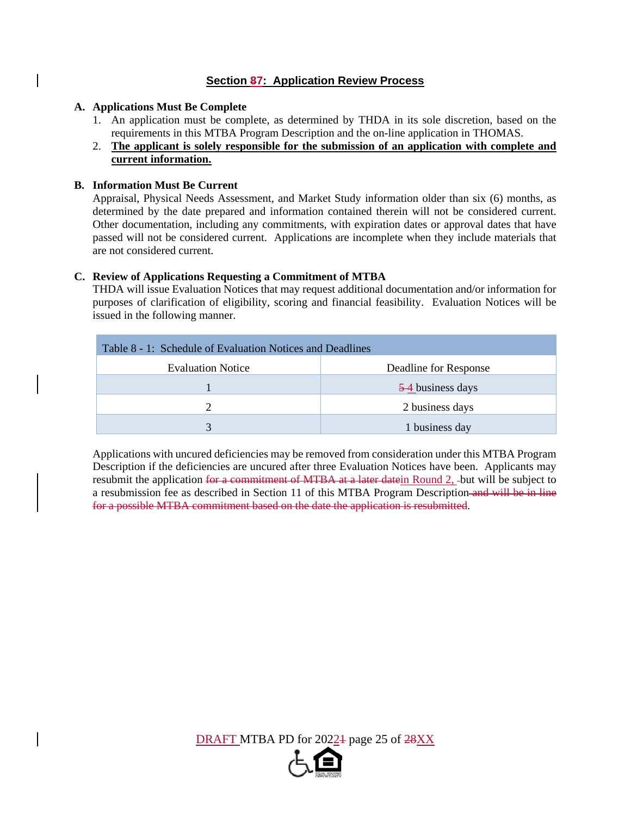## **Section 87: Application Review Process**

#### **A. Applications Must Be Complete**

- 1. An application must be complete, as determined by THDA in its sole discretion, based on the requirements in this MTBA Program Description and the on-line application in THOMAS.
- 2. **The applicant is solely responsible for the submission of an application with complete and current information.**

#### **B. Information Must Be Current**

Appraisal, Physical Needs Assessment, and Market Study information older than six (6) months, as determined by the date prepared and information contained therein will not be considered current. Other documentation, including any commitments, with expiration dates or approval dates that have passed will not be considered current. Applications are incomplete when they include materials that are not considered current.

#### **C. Review of Applications Requesting a Commitment of MTBA**

THDA will issue Evaluation Notices that may request additional documentation and/or information for purposes of clarification of eligibility, scoring and financial feasibility. Evaluation Notices will be issued in the following manner.

| Table 8 - 1: Schedule of Evaluation Notices and Deadlines |                       |  |  |  |  |
|-----------------------------------------------------------|-----------------------|--|--|--|--|
| <b>Evaluation Notice</b>                                  | Deadline for Response |  |  |  |  |
|                                                           | 5-4 business days     |  |  |  |  |
|                                                           | 2 business days       |  |  |  |  |
| $\mathbf{R}$                                              | 1 business day        |  |  |  |  |

Applications with uncured deficiencies may be removed from consideration under this MTBA Program Description if the deficiencies are uncured after three Evaluation Notices have been. Applicants may resubmit the application for a commitment of MTBA at a later date in Round 2, -but will be subject to a resubmission fee as described in Section 11 of this MTBA Program Description-and will be in line for a possible MTBA commitment based on the date the application is resubmitted.

DRAFT MTBA PD for 20224 page 25 of 28XX

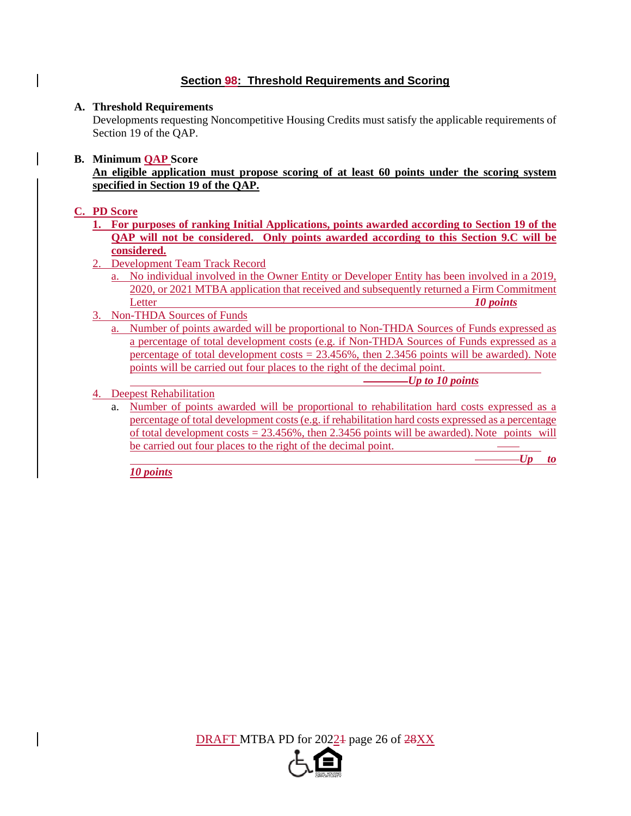## **Section 98: Threshold Requirements and Scoring**

#### **A. Threshold Requirements**

Developments requesting Noncompetitive Housing Credits must satisfy the applicable requirements of Section 19 of the QAP.

#### **B. Minimum QAP Score**

**An eligible application must propose scoring of at least 60 points under the scoring system specified in Section 19 of the QAP.**

#### **C. PD Score**

- **1. For purposes of ranking Initial Applications, points awarded according to Section 19 of the QAP will not be considered. Only points awarded according to this Section 9.C will be considered.**
- 2. Development Team Track Record
	- a. No individual involved in the Owner Entity or Developer Entity has been involved in a 2019, 2020, or 2021 MTBA application that received and subsequently returned a Firm Commitment Letter *10 points*
- 3. Non-THDA Sources of Funds
	- a. Number of points awarded will be proportional to Non-THDA Sources of Funds expressed as a percentage of total development costs (e.g. if Non-THDA Sources of Funds expressed as a percentage of total development  $costs = 23.456\%$ , then 2.3456 points will be awarded). Note points will be carried out four places to the right of the decimal point.

*Up to 10 points*

#### 4. Deepest Rehabilitation

a. Number of points awarded will be proportional to rehabilitation hard costs expressed as a percentage of total development costs (e.g. if rehabilitation hard costs expressed as a percentage of total development costs =  $23.456\%$ , then 2.3456 points will be awarded). Note points will be carried out four places to the right of the decimal point.

*Up to* 

*10 points*

DRAFT MTBA PD for 2022<sup>1</sup> page 26 of 28XX

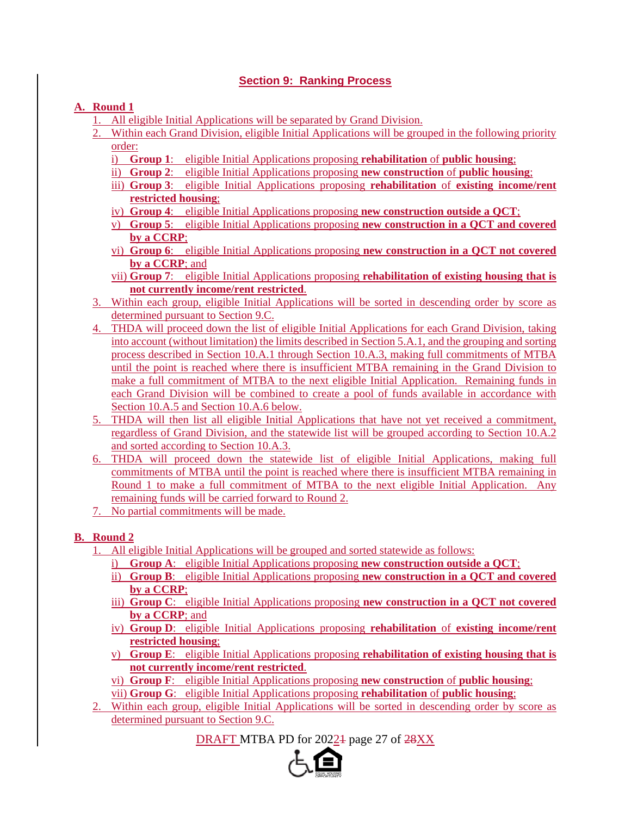## **Section 9: Ranking Process**

## **A. Round 1**

- 1. All eligible Initial Applications will be separated by Grand Division.
- 2. Within each Grand Division, eligible Initial Applications will be grouped in the following priority order:
	- i) **Group 1**: eligible Initial Applications proposing **rehabilitation** of **public housing**;
	- ii) **Group 2**: eligible Initial Applications proposing **new construction** of **public housing**;
	- iii) **Group 3**: eligible Initial Applications proposing **rehabilitation** of **existing income/rent restricted housing**;
	- iv) **Group 4**: eligible Initial Applications proposing **new construction outside a QCT**;
	- v) **Group 5**: eligible Initial Applications proposing **new construction in a QCT and covered by a CCRP**;
	- vi) **Group 6**: eligible Initial Applications proposing **new construction in a QCT not covered by a CCRP**; and
	- vii) **Group 7**: eligible Initial Applications proposing **rehabilitation of existing housing that is not currently income/rent restricted**.
- 3. Within each group, eligible Initial Applications will be sorted in descending order by score as determined pursuant to Section 9.C.
- 4. THDA will proceed down the list of eligible Initial Applications for each Grand Division, taking into account (without limitation) the limits described in Section 5.A.1, and the grouping and sorting process described in Section 10.A.1 through Section 10.A.3, making full commitments of MTBA until the point is reached where there is insufficient MTBA remaining in the Grand Division to make a full commitment of MTBA to the next eligible Initial Application. Remaining funds in each Grand Division will be combined to create a pool of funds available in accordance with Section 10.A.5 and Section 10.A.6 below.
- 5. THDA will then list all eligible Initial Applications that have not yet received a commitment, regardless of Grand Division, and the statewide list will be grouped according to Section 10.A.2 and sorted according to Section 10.A.3.
- 6. THDA will proceed down the statewide list of eligible Initial Applications, making full commitments of MTBA until the point is reached where there is insufficient MTBA remaining in Round 1 to make a full commitment of MTBA to the next eligible Initial Application. Any remaining funds will be carried forward to Round 2.
- 7. No partial commitments will be made.

## **B. Round 2**

- 1. All eligible Initial Applications will be grouped and sorted statewide as follows:
	- i) **Group A**: eligible Initial Applications proposing **new construction outside a QCT**;
	- ii) **Group B**: eligible Initial Applications proposing **new construction in a QCT and covered by a CCRP**;
	- iii) **Group C**: eligible Initial Applications proposing **new construction in a QCT not covered by a CCRP**; and
	- iv) **Group D**: eligible Initial Applications proposing **rehabilitation** of **existing income/rent restricted housing**;
	- v) **Group E**: eligible Initial Applications proposing **rehabilitation of existing housing that is not currently income/rent restricted**.
	- vi) **Group F**: eligible Initial Applications proposing **new construction** of **public housing**;
	- vii) **Group G**: eligible Initial Applications proposing **rehabilitation** of **public housing**;
- 2. Within each group, eligible Initial Applications will be sorted in descending order by score as determined pursuant to Section 9.C.

DRAFT MTBA PD for 2022<sup>1</sup> page 27 of 28XX

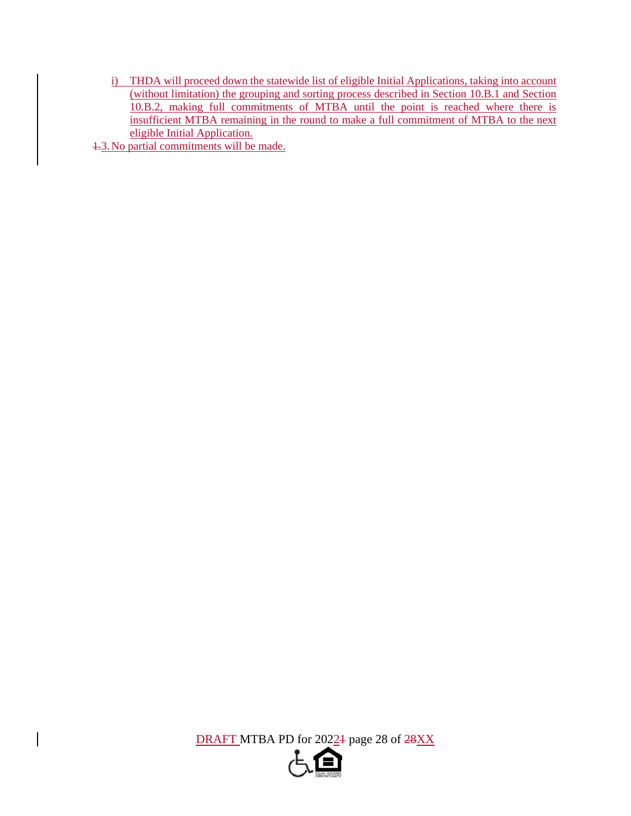i) THDA will proceed down the statewide list of eligible Initial Applications, taking into account (without limitation) the grouping and sorting process described in Section 10.B.1 and Section 10.B.2, making full commitments of MTBA until the point is reached where there is insufficient MTBA remaining in the round to make a full commitment of MTBA to the next eligible Initial Application.

1.3.No partial commitments will be made.

DRAFT MTBA PD for 2022<sup>1</sup> page 28 of 28XX

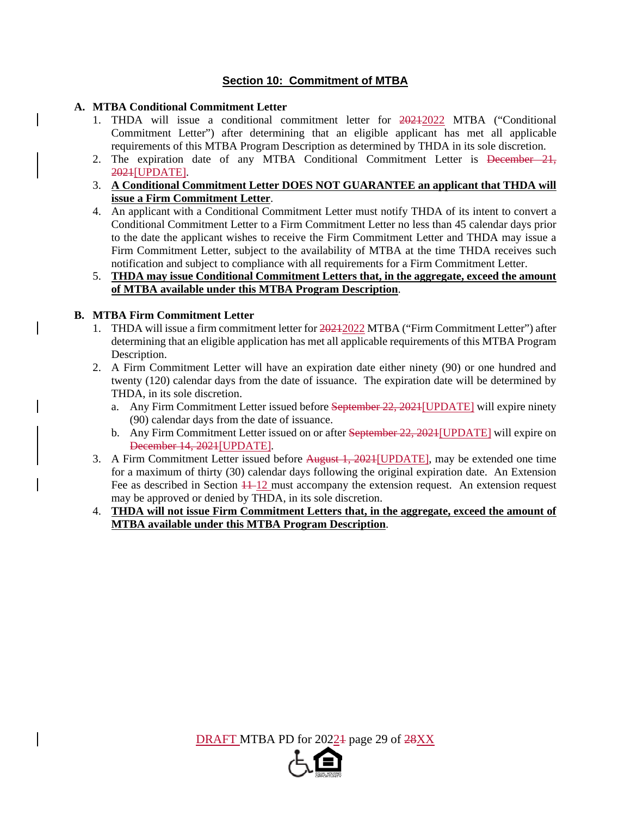## **Section 10: Commitment of MTBA**

#### **A. MTBA Conditional Commitment Letter**

- 1. THDA will issue a conditional commitment letter for 20212022 MTBA ("Conditional Commitment Letter") after determining that an eligible applicant has met all applicable requirements of this MTBA Program Description as determined by THDA in its sole discretion.
- 2. The expiration date of any MTBA Conditional Commitment Letter is <del>December 21,</del> 2021[UPDATE].
- 3. **A Conditional Commitment Letter DOES NOT GUARANTEE an applicant that THDA will issue a Firm Commitment Letter**.
- 4. An applicant with a Conditional Commitment Letter must notify THDA of its intent to convert a Conditional Commitment Letter to a Firm Commitment Letter no less than 45 calendar days prior to the date the applicant wishes to receive the Firm Commitment Letter and THDA may issue a Firm Commitment Letter, subject to the availability of MTBA at the time THDA receives such notification and subject to compliance with all requirements for a Firm Commitment Letter.

#### 5. **THDA may issue Conditional Commitment Letters that, in the aggregate, exceed the amount of MTBA available under this MTBA Program Description**.

#### **B. MTBA Firm Commitment Letter**

- 1. THDA will issue a firm commitment letter for  $\frac{20212022}{2022}$  MTBA ("Firm Commitment Letter") after determining that an eligible application has met all applicable requirements of this MTBA Program Description.
- 2. A Firm Commitment Letter will have an expiration date either ninety (90) or one hundred and twenty (120) calendar days from the date of issuance. The expiration date will be determined by THDA, in its sole discretion.
	- a. Any Firm Commitment Letter issued before September 22, 2021[UPDATE] will expire ninety (90) calendar days from the date of issuance.
	- b. Any Firm Commitment Letter issued on or after September 22, 2021[UPDATE] will expire on December 14, 2021[UPDATE].
- 3. A Firm Commitment Letter issued before August 1, 2021[UPDATE], may be extended one time for a maximum of thirty (30) calendar days following the original expiration date. An Extension Fee as described in Section  $11-12$  must accompany the extension request. An extension request may be approved or denied by THDA, in its sole discretion.
- 4. **THDA will not issue Firm Commitment Letters that, in the aggregate, exceed the amount of MTBA available under this MTBA Program Description**.

DRAFT MTBA PD for 20224 page 29 of  $28XX$ 

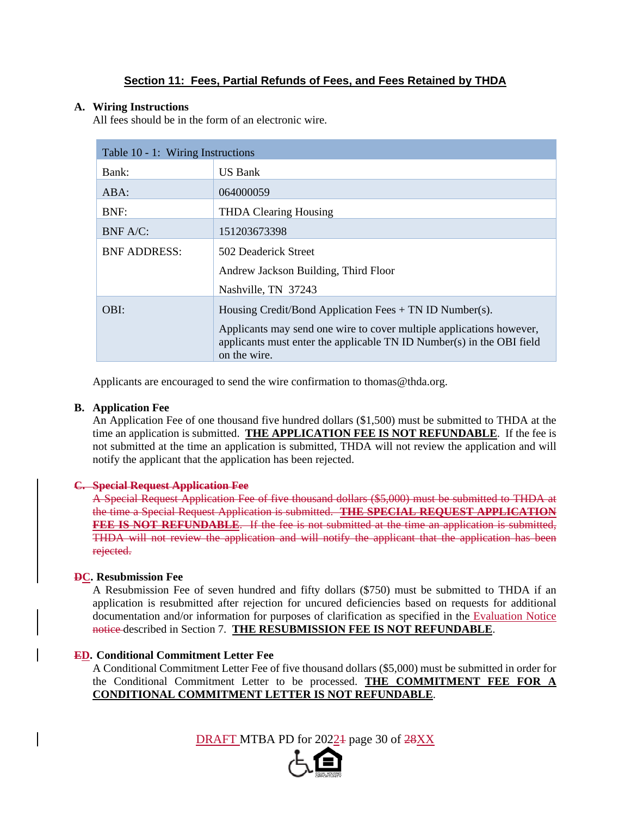## **Section 11: Fees, Partial Refunds of Fees, and Fees Retained by THDA**

#### **A. Wiring Instructions**

All fees should be in the form of an electronic wire.

| Table 10 - 1: Wiring Instructions |                                                                                       |  |  |  |
|-----------------------------------|---------------------------------------------------------------------------------------|--|--|--|
| Bank:                             | US Bank                                                                               |  |  |  |
| $ABA$ :                           | 064000059                                                                             |  |  |  |
| BNF:                              | <b>THDA Clearing Housing</b>                                                          |  |  |  |
| BNF A/C:                          | 151203673398                                                                          |  |  |  |
| <b>BNF ADDRESS:</b>               | 502 Deaderick Street                                                                  |  |  |  |
|                                   | Andrew Jackson Building, Third Floor                                                  |  |  |  |
|                                   | Nashville, TN 37243                                                                   |  |  |  |
| OBI:                              | Housing Credit/Bond Application Fees $+$ TN ID Number(s).                             |  |  |  |
|                                   | Applicants may send one wire to cover multiple applications however,                  |  |  |  |
|                                   | applicants must enter the applicable TN ID Number(s) in the OBI field<br>on the wire. |  |  |  |

Applicants are encouraged to send the wire confirmation to thomas@thda.org.

#### **B. Application Fee**

An Application Fee of one thousand five hundred dollars (\$1,500) must be submitted to THDA at the time an application is submitted. **THE APPLICATION FEE IS NOT REFUNDABLE**. If the fee is not submitted at the time an application is submitted, THDA will not review the application and will notify the applicant that the application has been rejected.

#### **C. Special Request Application Fee**

A Special Request Application Fee of five thousand dollars (\$5,000) must be submitted to THDA at the time a Special Request Application is submitted. **THE SPECIAL REQUEST APPLICATION FEE IS NOT REFUNDABLE**. If the fee is not submitted at the time an application is submitted, THDA will not review the application and will notify the applicant that the application has been rejected.

#### **DC. Resubmission Fee**

A Resubmission Fee of seven hundred and fifty dollars (\$750) must be submitted to THDA if an application is resubmitted after rejection for uncured deficiencies based on requests for additional documentation and/or information for purposes of clarification as specified in the Evaluation Notice notice described in Section 7. **THE RESUBMISSION FEE IS NOT REFUNDABLE**.

#### **ED. Conditional Commitment Letter Fee**

A Conditional Commitment Letter Fee of five thousand dollars (\$5,000) must be submitted in order for the Conditional Commitment Letter to be processed. **THE COMMITMENT FEE FOR A CONDITIONAL COMMITMENT LETTER IS NOT REFUNDABLE**.

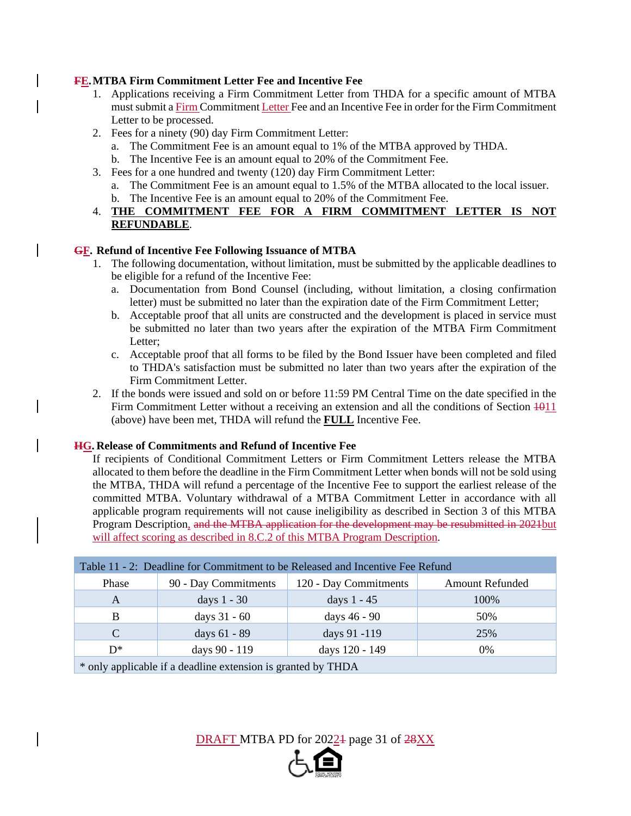#### **FE. MTBA Firm Commitment Letter Fee and Incentive Fee**

- 1. Applications receiving a Firm Commitment Letter from THDA for a specific amount of MTBA must submit a Firm Commitment Letter Fee and an Incentive Fee in order for the Firm Commitment Letter to be processed.
- 2. Fees for a ninety (90) day Firm Commitment Letter:
	- a. The Commitment Fee is an amount equal to 1% of the MTBA approved by THDA.
	- b. The Incentive Fee is an amount equal to 20% of the Commitment Fee.
- 3. Fees for a one hundred and twenty (120) day Firm Commitment Letter:
	- a. The Commitment Fee is an amount equal to 1.5% of the MTBA allocated to the local issuer.
	- b. The Incentive Fee is an amount equal to 20% of the Commitment Fee.
- 4. **THE COMMITMENT FEE FOR A FIRM COMMITMENT LETTER IS NOT REFUNDABLE**.

#### **GF. Refund of Incentive Fee Following Issuance of MTBA**

- 1. The following documentation, without limitation, must be submitted by the applicable deadlines to be eligible for a refund of the Incentive Fee:
	- a. Documentation from Bond Counsel (including, without limitation, a closing confirmation letter) must be submitted no later than the expiration date of the Firm Commitment Letter;
	- b. Acceptable proof that all units are constructed and the development is placed in service must be submitted no later than two years after the expiration of the MTBA Firm Commitment Letter;
	- c. Acceptable proof that all forms to be filed by the Bond Issuer have been completed and filed to THDA's satisfaction must be submitted no later than two years after the expiration of the Firm Commitment Letter.
- 2. If the bonds were issued and sold on or before 11:59 PM Central Time on the date specified in the Firm Commitment Letter without a receiving an extension and all the conditions of Section 1011 (above) have been met, THDA will refund the **FULL** Incentive Fee.

## **HG. Release of Commitments and Refund of Incentive Fee**

If recipients of Conditional Commitment Letters or Firm Commitment Letters release the MTBA allocated to them before the deadline in the Firm Commitment Letter when bonds will not be sold using the MTBA, THDA will refund a percentage of the Incentive Fee to support the earliest release of the committed MTBA. Voluntary withdrawal of a MTBA Commitment Letter in accordance with all applicable program requirements will not cause ineligibility as described in Section 3 of this MTBA Program Description, and the MTBA application for the development may be resubmitted in 2021 but will affect scoring as described in 8.C.2 of this MTBA Program Description.

| Table 11 - 2: Deadline for Commitment to be Released and Incentive Fee Refund |                      |                       |                        |  |  |  |  |
|-------------------------------------------------------------------------------|----------------------|-----------------------|------------------------|--|--|--|--|
| Phase                                                                         | 90 - Day Commitments | 120 - Day Commitments | <b>Amount Refunded</b> |  |  |  |  |
| A                                                                             | days $1 - 30$        | days 1 - 45           | 100%                   |  |  |  |  |
| B                                                                             | days 31 - 60         | days 46 - 90          | 50%                    |  |  |  |  |
| $\mathcal{C}$                                                                 | days 61 - 89         | days 91 -119          | 25%                    |  |  |  |  |
| $D^*$                                                                         | days 90 - 119        | days 120 - 149        | $0\%$                  |  |  |  |  |
| * only applicable if a deadline extension is granted by THDA                  |                      |                       |                        |  |  |  |  |

DRAFT MTBA PD for 20224 page 31 of  $28XX$ 

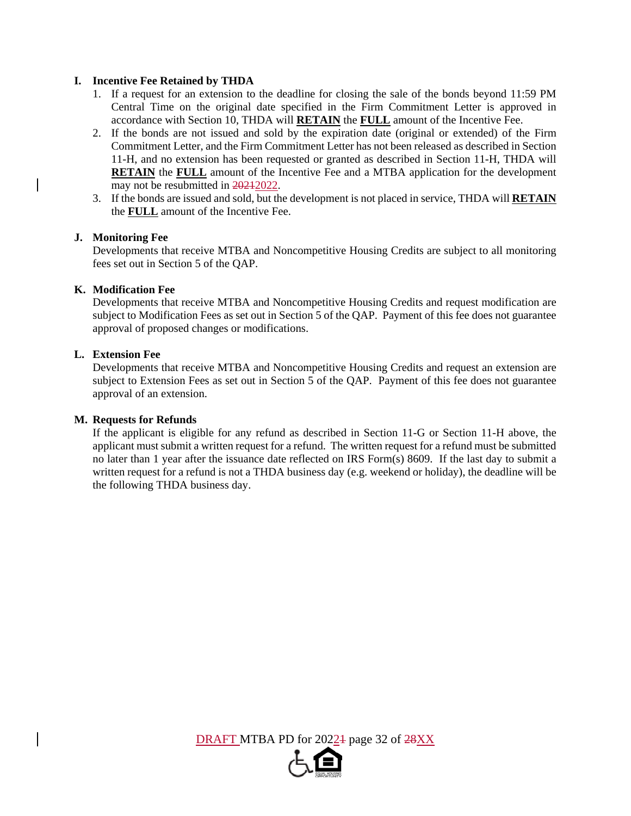#### **I. Incentive Fee Retained by THDA**

- 1. If a request for an extension to the deadline for closing the sale of the bonds beyond 11:59 PM Central Time on the original date specified in the Firm Commitment Letter is approved in accordance with Section 10, THDA will **RETAIN** the **FULL** amount of the Incentive Fee.
- 2. If the bonds are not issued and sold by the expiration date (original or extended) of the Firm Commitment Letter, and the Firm Commitment Letter has not been released as described in Section 11-H, and no extension has been requested or granted as described in Section 11-H, THDA will **RETAIN** the **FULL** amount of the Incentive Fee and a MTBA application for the development may not be resubmitted in 20212022.
- 3. If the bonds are issued and sold, but the development is not placed in service, THDA will **RETAIN** the **FULL** amount of the Incentive Fee.

#### **J. Monitoring Fee**

Developments that receive MTBA and Noncompetitive Housing Credits are subject to all monitoring fees set out in Section 5 of the QAP.

#### **K. Modification Fee**

Developments that receive MTBA and Noncompetitive Housing Credits and request modification are subject to Modification Fees as set out in Section 5 of the QAP. Payment of this fee does not guarantee approval of proposed changes or modifications.

#### **L. Extension Fee**

Developments that receive MTBA and Noncompetitive Housing Credits and request an extension are subject to Extension Fees as set out in Section 5 of the QAP. Payment of this fee does not guarantee approval of an extension.

#### **M. Requests for Refunds**

 If the applicant is eligible for any refund as described in Section 11-G or Section 11-H above, the applicant must submit a written request for a refund. The written request for a refund must be submitted no later than 1 year after the issuance date reflected on IRS Form(s) 8609. If the last day to submit a written request for a refund is not a THDA business day (e.g. weekend or holiday), the deadline will be the following THDA business day.

DRAFT MTBA PD for 2022<sup>1</sup> page 32 of 28XX

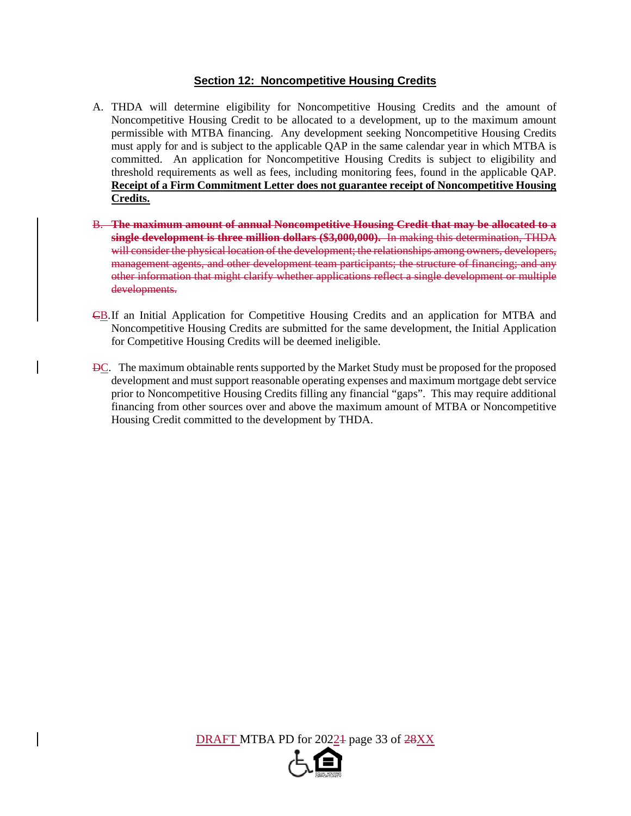#### **Section 12: Noncompetitive Housing Credits**

- A. THDA will determine eligibility for Noncompetitive Housing Credits and the amount of Noncompetitive Housing Credit to be allocated to a development, up to the maximum amount permissible with MTBA financing. Any development seeking Noncompetitive Housing Credits must apply for and is subject to the applicable QAP in the same calendar year in which MTBA is committed. An application for Noncompetitive Housing Credits is subject to eligibility and threshold requirements as well as fees, including monitoring fees, found in the applicable QAP. **Receipt of a Firm Commitment Letter does not guarantee receipt of Noncompetitive Housing Credits.**
- B. **The maximum amount of annual Noncompetitive Housing Credit that may be allocated to a single development is three million dollars (\$3,000,000).** In making this determination, THDA will consider the physical location of the development; the relationships among owners, developers, management agents, and other development team participants; the structure of financing; and any other information that might clarify whether applications reflect a single development or multiple developments.
- CB. If an Initial Application for Competitive Housing Credits and an application for MTBA and Noncompetitive Housing Credits are submitted for the same development, the Initial Application for Competitive Housing Credits will be deemed ineligible.
- DC. The maximum obtainable rents supported by the Market Study must be proposed for the proposed development and must support reasonable operating expenses and maximum mortgage debt service prior to Noncompetitive Housing Credits filling any financial "gaps". This may require additional financing from other sources over and above the maximum amount of MTBA or Noncompetitive Housing Credit committed to the development by THDA.

DRAFT MTBA PD for 2022<sup>1</sup> page 33 of 28XX